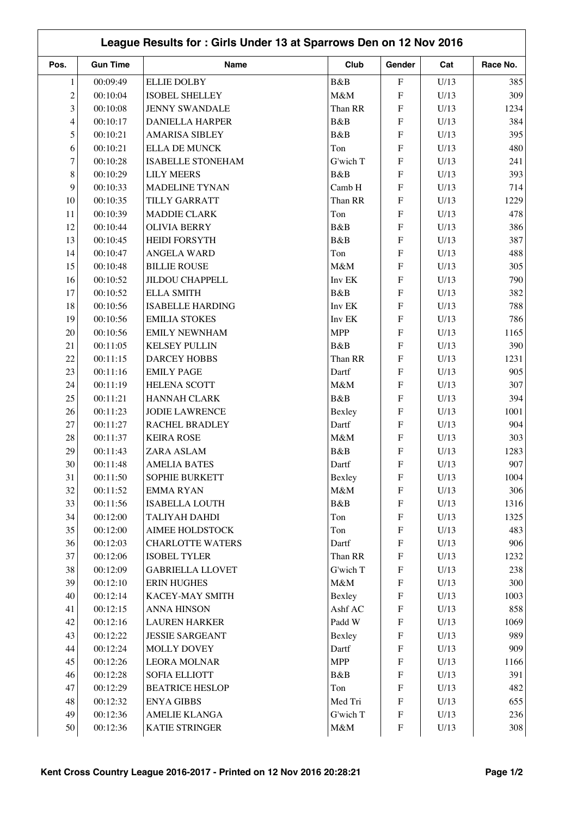|                |                 | League Results for: Girls Under 13 at Sparrows Den on 12 Nov 2016 |                 |                           |      |             |
|----------------|-----------------|-------------------------------------------------------------------|-----------------|---------------------------|------|-------------|
| Pos.           | <b>Gun Time</b> | <b>Name</b>                                                       | Club            | Gender                    | Cat  | Race No.    |
| $\mathbf{1}$   | 00:09:49        | <b>ELLIE DOLBY</b>                                                | B&B             | ${\bf F}$                 | U/13 | 385         |
| $\overline{c}$ | 00:10:04        | <b>ISOBEL SHELLEY</b>                                             | M&M             | $\boldsymbol{\mathrm{F}}$ | U/13 | 309         |
| 3              | 00:10:08        | <b>JENNY SWANDALE</b>                                             | Than RR         | $\boldsymbol{\mathrm{F}}$ | U/13 | 1234        |
| 4              | 00:10:17        | <b>DANIELLA HARPER</b>                                            | B&B             | $\boldsymbol{\mathrm{F}}$ | U/13 | 384         |
| 5              | 00:10:21        | <b>AMARISA SIBLEY</b>                                             | B&B             | $\boldsymbol{\mathrm{F}}$ | U/13 | 395         |
| 6              | 00:10:21        | <b>ELLA DE MUNCK</b>                                              | Ton             | $\mathbf F$               | U/13 | 480         |
| $\tau$         | 00:10:28        | <b>ISABELLE STONEHAM</b>                                          | G'wich T        | ${\bf F}$                 | U/13 | 241         |
| 8              | 00:10:29        | <b>LILY MEERS</b>                                                 | B&B             | $\mathbf F$               | U/13 | 393         |
| 9              | 00:10:33        | <b>MADELINE TYNAN</b>                                             | Camb H          | $\mathbf{F}$              | U/13 | 714         |
| 10             | 00:10:35        | TILLY GARRATT                                                     | Than RR         | $\boldsymbol{\mathrm{F}}$ | U/13 | 1229        |
| 11             | 00:10:39        | <b>MADDIE CLARK</b>                                               | Ton             | $\mathbf{F}$              | U/13 | 478         |
| 12             | 00:10:44        | <b>OLIVIA BERRY</b>                                               | B&B             | $\mathbf F$               | U/13 | 386         |
| 13             | 00:10:45        | <b>HEIDI FORSYTH</b>                                              | B&B             | $\mathbf F$               | U/13 | 387         |
| 14             | 00:10:47        | <b>ANGELA WARD</b>                                                | Ton             | $\mathbf F$               | U/13 | 488         |
| 15             | 00:10:48        | <b>BILLIE ROUSE</b>                                               | M&M             | $\boldsymbol{\mathrm{F}}$ | U/13 | 305         |
| 16             | 00:10:52        | <b>JILDOU CHAPPELL</b>                                            | Inv EK          | $\mathbf F$               | U/13 | 790         |
| 17             | 00:10:52        | <b>ELLA SMITH</b>                                                 | B&B             | $\boldsymbol{\mathrm{F}}$ | U/13 | 382         |
| 18             | 00:10:56        | <b>ISABELLE HARDING</b>                                           | Inv EK          | ${\bf F}$                 | U/13 | 788         |
| 19             | 00:10:56        | <b>EMILIA STOKES</b>                                              | Inv EK          | $\mathbf F$               | U/13 | 786         |
| 20             | 00:10:56        | <b>EMILY NEWNHAM</b>                                              | <b>MPP</b>      | $\mathbf F$               | U/13 | 1165        |
| 21             | 00:11:05        | <b>KELSEY PULLIN</b>                                              | B&B             | $\mathbf F$               | U/13 | 390         |
| 22             | 00:11:15        | <b>DARCEY HOBBS</b>                                               | Than RR         | ${\bf F}$                 | U/13 | 1231        |
| 23             | 00:11:16        | <b>EMILY PAGE</b>                                                 | Dartf           | ${\bf F}$                 | U/13 | 905         |
| 24             | 00:11:19        | HELENA SCOTT                                                      | M&M             | $\mathbf{F}$              | U/13 | 307         |
| 25             | 00:11:21        | HANNAH CLARK                                                      | B&B             | $\boldsymbol{\mathrm{F}}$ | U/13 | 394         |
| 26             | 00:11:23        |                                                                   |                 | $\boldsymbol{\mathrm{F}}$ | U/13 | 1001        |
| 27             |                 | <b>JODIE LAWRENCE</b>                                             | Bexley<br>Dartf | $\boldsymbol{\mathrm{F}}$ | U/13 | 904         |
|                | 00:11:27        | RACHEL BRADLEY                                                    |                 | $\mathbf F$               |      |             |
| $28\,$<br>29   | 00:11:37        | <b>KEIRA ROSE</b><br>ZARA ASLAM                                   | M&M             | $\mathbf F$               | U/13 | 303         |
|                | 00:11:43        |                                                                   | B&B             |                           | U/13 | 1283        |
| 30             | 00:11:48        | <b>AMELIA BATES</b>                                               | Dartf           | F                         | U/13 | 907         |
| 31             | 00:11:50        | SOPHIE BURKETT                                                    | Bexley          | $\boldsymbol{\mathrm{F}}$ | U/13 | 1004        |
| 32             | 00:11:52        | <b>EMMARYAN</b>                                                   | M&M             | ${\bf F}$                 | U/13 | 306<br>1316 |
| 33             | 00:11:56        | <b>ISABELLA LOUTH</b>                                             | B&B             | ${\bf F}$                 | U/13 |             |
| 34             | 00:12:00        | TALIYAH DAHDI                                                     | Ton             | $\boldsymbol{\mathrm{F}}$ | U/13 | 1325        |
| 35             | 00:12:00        | <b>AIMEE HOLDSTOCK</b>                                            | Ton             | $\boldsymbol{\mathrm{F}}$ | U/13 | 483         |
| 36<br>37       | 00:12:03        | <b>CHARLOTTE WATERS</b><br><b>ISOBEL TYLER</b>                    | Dartf           | $\boldsymbol{\mathrm{F}}$ | U/13 | 906         |
|                | 00:12:06        |                                                                   | Than RR         | $\boldsymbol{\mathrm{F}}$ | U/13 | 1232        |
| 38             | 00:12:09        | <b>GABRIELLA LLOVET</b>                                           | G'wich T        | $\boldsymbol{\mathrm{F}}$ | U/13 | 238         |
| 39             | 00:12:10        | <b>ERIN HUGHES</b>                                                | $M\&M$          | $\boldsymbol{\mathrm{F}}$ | U/13 | 300         |
| 40             | 00:12:14        | KACEY-MAY SMITH                                                   | Bexley          | $\boldsymbol{\mathrm{F}}$ | U/13 | 1003        |
| 41             | 00:12:15        | <b>ANNA HINSON</b>                                                | Ashf AC         | ${\bf F}$                 | U/13 | 858         |
| 42             | 00:12:16        | <b>LAUREN HARKER</b>                                              | Padd W          | ${\bf F}$                 | U/13 | 1069        |
| 43             | 00:12:22        | <b>JESSIE SARGEANT</b>                                            | Bexley          | $\boldsymbol{\mathrm{F}}$ | U/13 | 989         |
| 44             | 00:12:24        | MOLLY DOVEY                                                       | Dartf           | $\boldsymbol{\mathrm{F}}$ | U/13 | 909         |
| 45             | 00:12:26        | <b>LEORA MOLNAR</b>                                               | <b>MPP</b>      | $\boldsymbol{\mathrm{F}}$ | U/13 | 1166        |
| 46             | 00:12:28        | SOFIA ELLIOTT                                                     | B&B             | $\boldsymbol{\mathrm{F}}$ | U/13 | 391         |
| 47             | 00:12:29        | <b>BEATRICE HESLOP</b>                                            | Ton             | $\boldsymbol{\mathrm{F}}$ | U/13 | 482         |
| $48\,$         | 00:12:32        | <b>ENYA GIBBS</b>                                                 | Med Tri         | $\boldsymbol{\mathrm{F}}$ | U/13 | 655         |
| 49             | 00:12:36        | <b>AMELIE KLANGA</b>                                              | G'wich T        | $\boldsymbol{\mathrm{F}}$ | U/13 | 236         |
| 50             | 00:12:36        | KATIE STRINGER                                                    | $M\&M$          | $\mathbf F$               | U/13 | 308         |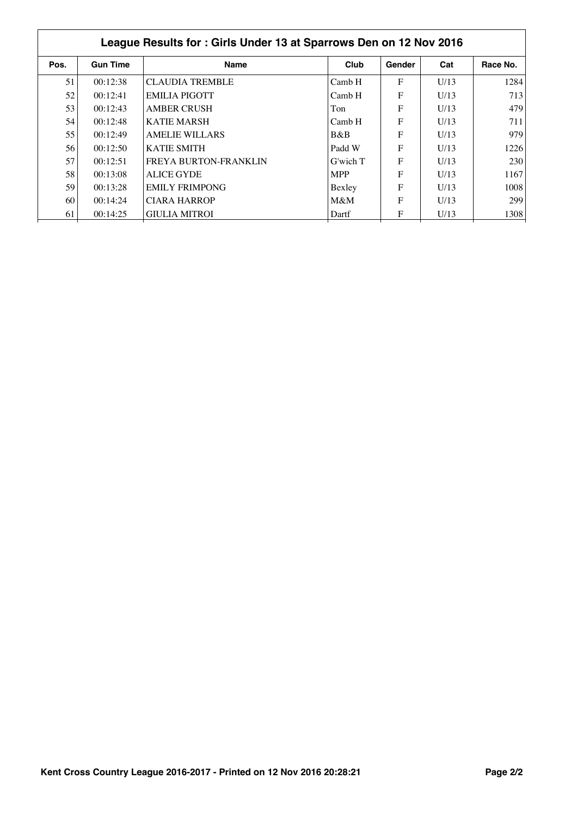|      | League Results for: Girls Under 13 at Sparrows Den on 12 Nov 2016 |                        |            |        |      |          |  |  |  |
|------|-------------------------------------------------------------------|------------------------|------------|--------|------|----------|--|--|--|
| Pos. | <b>Gun Time</b>                                                   | <b>Name</b>            | Club       | Gender | Cat  | Race No. |  |  |  |
| 51   | 00:12:38                                                          | <b>CLAUDIA TREMBLE</b> | Camb H     | F      | U/13 | 1284     |  |  |  |
| 52   | 00:12:41                                                          | <b>EMILIA PIGOTT</b>   | Camb H     | F      | U/13 | 713      |  |  |  |
| 53   | 00:12:43                                                          | <b>AMBER CRUSH</b>     | Ton        | F      | U/13 | 479      |  |  |  |
| 54   | 00:12:48                                                          | <b>KATIE MARSH</b>     | Camb H     | F      | U/13 | 711      |  |  |  |
| 55   | 00:12:49                                                          | <b>AMELIE WILLARS</b>  | B&B        | F      | U/13 | 979      |  |  |  |
| 56   | 00:12:50                                                          | <b>KATIE SMITH</b>     | Padd W     | F      | U/13 | 1226     |  |  |  |
| 57   | 00:12:51                                                          | FREYA BURTON-FRANKLIN  | G'wich T   | F      | U/13 | 230      |  |  |  |
| 58   | 00:13:08                                                          | ALICE GYDE             | <b>MPP</b> | F      | U/13 | 1167     |  |  |  |
| 59   | 00:13:28                                                          | <b>EMILY FRIMPONG</b>  | Bexley     | F      | U/13 | 1008     |  |  |  |
| 60   | 00:14:24                                                          | <b>CIARA HARROP</b>    | $M\&M$     | F      | U/13 | 299      |  |  |  |
| 61   | 00:14:25                                                          | <b>GIULIA MITROI</b>   | Dartf      | F      | U/13 | 1308     |  |  |  |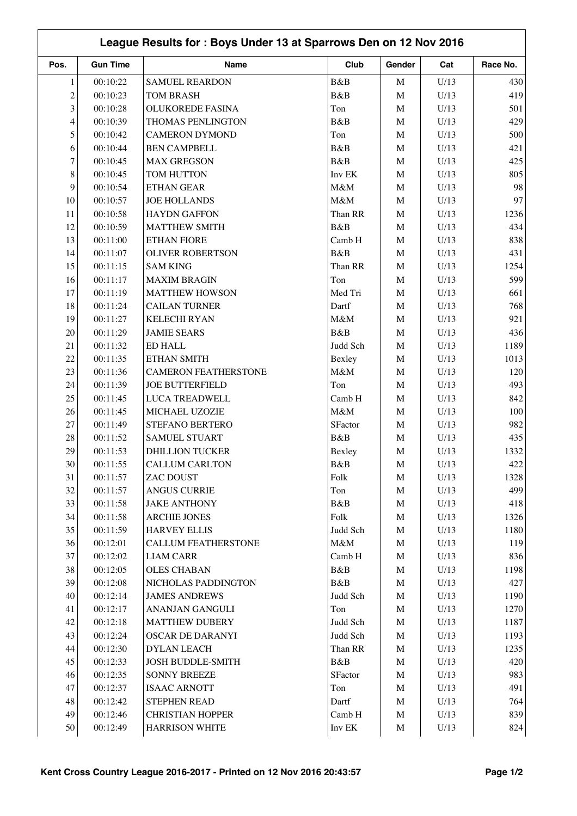| League Results for: Boys Under 13 at Sparrows Den on 12 Nov 2016 |                 |                             |          |             |      |          |  |
|------------------------------------------------------------------|-----------------|-----------------------------|----------|-------------|------|----------|--|
| Pos.                                                             | <b>Gun Time</b> | Name                        | Club     | Gender      | Cat  | Race No. |  |
| 1                                                                | 00:10:22        | <b>SAMUEL REARDON</b>       | B&B      | M           | U/13 | 430      |  |
| $\overline{c}$                                                   | 00:10:23        | <b>TOM BRASH</b>            | B&B      | $\mathbf M$ | U/13 | 419      |  |
| 3                                                                | 00:10:28        | <b>OLUKOREDE FASINA</b>     | Ton      | M           | U/13 | 501      |  |
| $\overline{\mathcal{L}}$                                         | 00:10:39        | THOMAS PENLINGTON           | B&B      | M           | U/13 | 429      |  |
| 5                                                                | 00:10:42        | <b>CAMERON DYMOND</b>       | Ton      | M           | U/13 | 500      |  |
| 6                                                                | 00:10:44        | <b>BEN CAMPBELL</b>         | B&B      | $\mathbf M$ | U/13 | 421      |  |
| $\overline{7}$                                                   | 00:10:45        | <b>MAX GREGSON</b>          | B&B      | M           | U/13 | 425      |  |
| 8                                                                | 00:10:45        | TOM HUTTON                  | Inv EK   | $\mathbf M$ | U/13 | 805      |  |
| 9                                                                | 00:10:54        | ETHAN GEAR                  | M&M      | M           | U/13 | 98       |  |
| 10                                                               | 00:10:57        | <b>JOE HOLLANDS</b>         | M&M      | $\mathbf M$ | U/13 | 97       |  |
| 11                                                               | 00:10:58        | <b>HAYDN GAFFON</b>         | Than RR  | M           | U/13 | 1236     |  |
| 12                                                               | 00:10:59        | <b>MATTHEW SMITH</b>        | B&B      | $\mathbf M$ | U/13 | 434      |  |
| 13                                                               | 00:11:00        | <b>ETHAN FIORE</b>          | Camb H   | $\mathbf M$ | U/13 | 838      |  |
| 14                                                               | 00:11:07        | <b>OLIVER ROBERTSON</b>     | B&B      | $\mathbf M$ | U/13 | 431      |  |
| 15                                                               | 00:11:15        | <b>SAM KING</b>             | Than RR  | $\mathbf M$ | U/13 | 1254     |  |
| 16                                                               | 00:11:17        | <b>MAXIM BRAGIN</b>         | Ton      | $\mathbf M$ | U/13 | 599      |  |
| 17                                                               | 00:11:19        | <b>MATTHEW HOWSON</b>       | Med Tri  | $\mathbf M$ | U/13 | 661      |  |
| 18                                                               | 00:11:24        | <b>CAILAN TURNER</b>        | Dartf    | M           | U/13 | 768      |  |
| 19                                                               | 00:11:27        | <b>KELECHI RYAN</b>         | M&M      | M           | U/13 | 921      |  |
| 20                                                               | 00:11:29        | <b>JAMIE SEARS</b>          | B&B      | $\mathbf M$ | U/13 | 436      |  |
| 21                                                               | 00:11:32        | ED HALL                     | Judd Sch | $\mathbf M$ | U/13 | 1189     |  |
| 22                                                               | 00:11:35        | ETHAN SMITH                 |          |             | U/13 | 1013     |  |
|                                                                  |                 |                             | Bexley   | M           |      |          |  |
| 23                                                               | 00:11:36        | <b>CAMERON FEATHERSTONE</b> | M&M      | M           | U/13 | 120      |  |
| 24                                                               | 00:11:39        | <b>JOE BUTTERFIELD</b>      | Ton      | M           | U/13 | 493      |  |
| 25                                                               | 00:11:45        | LUCA TREADWELL              | Camb H   | M           | U/13 | 842      |  |
| 26                                                               | 00:11:45        | MICHAEL UZOZIE              | M&M      | M           | U/13 | 100      |  |
| 27                                                               | 00:11:49        | STEFANO BERTERO             | SFactor  | $\mathbf M$ | U/13 | 982      |  |
| 28                                                               | 00:11:52        | <b>SAMUEL STUART</b>        | B&B      | M           | U/13 | 435      |  |
| 29                                                               | 00:11:53        | <b>DHILLION TUCKER</b>      | Bexley   | M           | U/13 | 1332     |  |
| $30\,$                                                           | 00:11:55        | <b>CALLUM CARLTON</b>       | B&B      | M           | U/13 | 422      |  |
| 31                                                               | 00:11:57        | ZAC DOUST                   | Folk     | M           | U/13 | 1328     |  |
| 32                                                               | 00:11:57        | <b>ANGUS CURRIE</b>         | Ton      | M           | U/13 | 499      |  |
| 33                                                               | 00:11:58        | <b>JAKE ANTHONY</b>         | B&B      | M           | U/13 | 418      |  |
| 34                                                               | 00:11:58        | <b>ARCHIE JONES</b>         | Folk     | M           | U/13 | 1326     |  |
| 35                                                               | 00:11:59        | <b>HARVEY ELLIS</b>         | Judd Sch | M           | U/13 | 1180     |  |
| 36                                                               | 00:12:01        | <b>CALLUM FEATHERSTONE</b>  | $M\&M$   | M           | U/13 | 119      |  |
| 37                                                               | 00:12:02        | <b>LIAM CARR</b>            | Camb H   | M           | U/13 | 836      |  |
| 38                                                               | 00:12:05        | <b>OLES CHABAN</b>          | B&B      | M           | U/13 | 1198     |  |
| 39                                                               | 00:12:08        | NICHOLAS PADDINGTON         | B&B      | M           | U/13 | 427      |  |
| 40                                                               | 00:12:14        | <b>JAMES ANDREWS</b>        | Judd Sch | M           | U/13 | 1190     |  |
| 41                                                               | 00:12:17        | ANANJAN GANGULI             | Ton      | M           | U/13 | 1270     |  |
| 42                                                               | 00:12:18        | <b>MATTHEW DUBERY</b>       | Judd Sch | M           | U/13 | 1187     |  |
| 43                                                               | 00:12:24        | <b>OSCAR DE DARANYI</b>     | Judd Sch | M           | U/13 | 1193     |  |
| 44                                                               | 00:12:30        | <b>DYLAN LEACH</b>          | Than RR  | M           | U/13 | 1235     |  |
| 45                                                               | 00:12:33        | JOSH BUDDLE-SMITH           | B&B      | M           | U/13 | 420      |  |
| 46                                                               | 00:12:35        | <b>SONNY BREEZE</b>         | SFactor  | M           | U/13 | 983      |  |
| 47                                                               | 00:12:37        | <b>ISAAC ARNOTT</b>         | Ton      | M           | U/13 | 491      |  |
| 48                                                               | 00:12:42        | STEPHEN READ                | Dartf    | M           | U/13 | 764      |  |
| 49                                                               | 00:12:46        | <b>CHRISTIAN HOPPER</b>     | Camb H   | M           | U/13 | 839      |  |
| 50                                                               | 00:12:49        | <b>HARRISON WHITE</b>       | Inv EK   | M           | U/13 | 824      |  |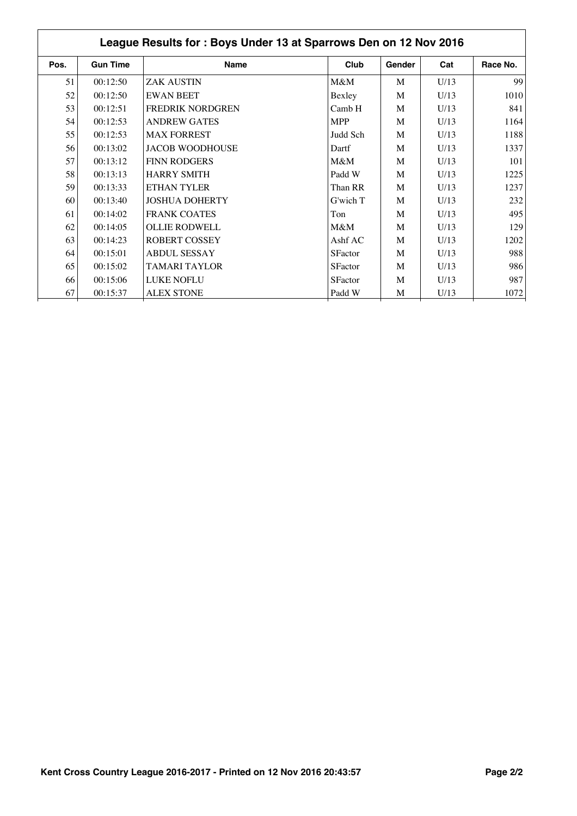| League Results for: Boys Under 13 at Sparrows Den on 12 Nov 2016 |                 |                         |                |        |      |          |  |  |
|------------------------------------------------------------------|-----------------|-------------------------|----------------|--------|------|----------|--|--|
| Pos.                                                             | <b>Gun Time</b> | <b>Name</b>             | Club           | Gender | Cat  | Race No. |  |  |
| 51                                                               | 00:12:50        | <b>ZAK AUSTIN</b>       | M&M            | M      | U/13 | 99       |  |  |
| 52                                                               | 00:12:50        | <b>EWAN BEET</b>        | Bexley         | M      | U/13 | 1010     |  |  |
| 53                                                               | 00:12:51        | <b>FREDRIK NORDGREN</b> | Camb H         | M      | U/13 | 841      |  |  |
| 54                                                               | 00:12:53        | <b>ANDREW GATES</b>     | <b>MPP</b>     | M      | U/13 | 1164     |  |  |
| 55                                                               | 00:12:53        | <b>MAX FORREST</b>      | Judd Sch       | M      | U/13 | 1188     |  |  |
| 56                                                               | 00:13:02        | <b>JACOB WOODHOUSE</b>  | Dartf          | M      | U/13 | 1337     |  |  |
| 57                                                               | 00:13:12        | <b>FINN RODGERS</b>     | $M\&M$         | M      | U/13 | 101      |  |  |
| 58                                                               | 00:13:13        | <b>HARRY SMITH</b>      | Padd W         | M      | U/13 | 1225     |  |  |
| 59                                                               | 00:13:33        | <b>ETHAN TYLER</b>      | Than RR        | M      | U/13 | 1237     |  |  |
| 60                                                               | 00:13:40        | <b>JOSHUA DOHERTY</b>   | $G$ 'wich $T$  | М      | U/13 | 232      |  |  |
| 61                                                               | 00:14:02        | <b>FRANK COATES</b>     | Ton            | M      | U/13 | 495      |  |  |
| 62                                                               | 00:14:05        | <b>OLLIE RODWELL</b>    | $M\&M$         | M      | U/13 | 129      |  |  |
| 63                                                               | 00:14:23        | <b>ROBERT COSSEY</b>    | Ashf AC        | M      | U/13 | 1202     |  |  |
| 64                                                               | 00:15:01        | <b>ABDUL SESSAY</b>     | <b>SFactor</b> | М      | U/13 | 988      |  |  |
| 65                                                               | 00:15:02        | <b>TAMARI TAYLOR</b>    | <b>SFactor</b> | M      | U/13 | 986      |  |  |
| 66                                                               | 00:15:06        | <b>LUKE NOFLU</b>       | <b>SFactor</b> | М      | U/13 | 987      |  |  |
| 67                                                               | 00:15:37        | <b>ALEX STONE</b>       | Padd W         | M      | U/13 | 1072     |  |  |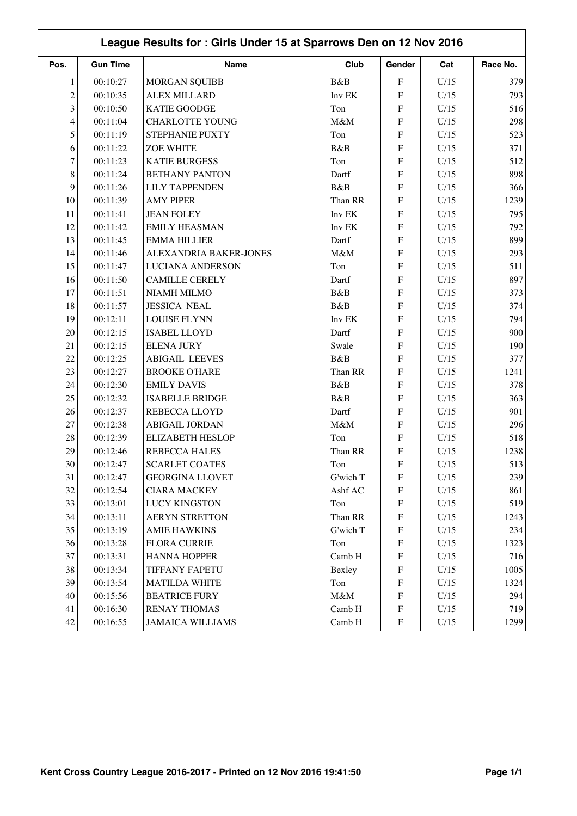| League Results for: Girls Under 15 at Sparrows Den on 12 Nov 2016 |                 |                               |          |                           |      |          |  |
|-------------------------------------------------------------------|-----------------|-------------------------------|----------|---------------------------|------|----------|--|
| Pos.                                                              | <b>Gun Time</b> | Name                          | Club     | Gender                    | Cat  | Race No. |  |
| $\mathbf{1}$                                                      | 00:10:27        | <b>MORGAN SQUIBB</b>          | B&B      | $\boldsymbol{\mathrm{F}}$ | U/15 | 379      |  |
| $\overline{c}$                                                    | 00:10:35        | <b>ALEX MILLARD</b>           | Inv EK   | ${\bf F}$                 | U/15 | 793      |  |
| 3                                                                 | 00:10:50        | <b>KATIE GOODGE</b>           | Ton      | ${\bf F}$                 | U/15 | 516      |  |
| 4                                                                 | 00:11:04        | <b>CHARLOTTE YOUNG</b>        | M&M      | ${\bf F}$                 | U/15 | 298      |  |
| 5                                                                 | 00:11:19        | STEPHANIE PUXTY               | Ton      | $\overline{F}$            | U/15 | 523      |  |
| 6                                                                 | 00:11:22        | <b>ZOE WHITE</b>              | B&B      | ${\bf F}$                 | U/15 | 371      |  |
| 7                                                                 | 00:11:23        | <b>KATIE BURGESS</b>          | Ton      | ${\bf F}$                 | U/15 | 512      |  |
| 8                                                                 | 00:11:24        | <b>BETHANY PANTON</b>         | Dartf    | ${\bf F}$                 | U/15 | 898      |  |
| 9                                                                 | 00:11:26        | <b>LILY TAPPENDEN</b>         | B&B      | ${\bf F}$                 | U/15 | 366      |  |
| 10                                                                | 00:11:39        | <b>AMY PIPER</b>              | Than RR  | ${\bf F}$                 | U/15 | 1239     |  |
| 11                                                                | 00:11:41        | <b>JEAN FOLEY</b>             | Inv EK   | ${\bf F}$                 | U/15 | 795      |  |
| 12                                                                | 00:11:42        | <b>EMILY HEASMAN</b>          | Inv EK   | ${\bf F}$                 | U/15 | 792      |  |
| 13                                                                | 00:11:45        | <b>EMMA HILLIER</b>           | Dartf    | ${\bf F}$                 | U/15 | 899      |  |
| 14                                                                | 00:11:46        | <b>ALEXANDRIA BAKER-JONES</b> | M&M      | ${\bf F}$                 | U/15 | 293      |  |
| 15                                                                | 00:11:47        | <b>LUCIANA ANDERSON</b>       | Ton      | $\overline{F}$            | U/15 | 511      |  |
| 16                                                                | 00:11:50        | <b>CAMILLE CERELY</b>         | Dartf    | ${\bf F}$                 | U/15 | 897      |  |
| 17                                                                | 00:11:51        | NIAMH MILMO                   | B&B      | ${\bf F}$                 | U/15 | 373      |  |
| 18                                                                | 00:11:57        | <b>JESSICA NEAL</b>           | B&B      | ${\bf F}$                 | U/15 | 374      |  |
| 19                                                                | 00:12:11        | <b>LOUISE FLYNN</b>           | Inv EK   | ${\bf F}$                 | U/15 | 794      |  |
| 20                                                                | 00:12:15        | <b>ISABEL LLOYD</b>           | Dartf    | $\overline{F}$            | U/15 | 900      |  |
| 21                                                                | 00:12:15        | <b>ELENA JURY</b>             | Swale    | ${\bf F}$                 | U/15 | 190      |  |
| 22                                                                | 00:12:25        | <b>ABIGAIL LEEVES</b>         | B&B      | ${\bf F}$                 | U/15 | 377      |  |
| 23                                                                | 00:12:27        | <b>BROOKE O'HARE</b>          | Than RR  | ${\bf F}$                 | U/15 | 1241     |  |
| 24                                                                | 00:12:30        | <b>EMILY DAVIS</b>            | B&B      | ${\bf F}$                 | U/15 | 378      |  |
| 25                                                                | 00:12:32        | <b>ISABELLE BRIDGE</b>        | B&B      | ${\bf F}$                 | U/15 | 363      |  |
| 26                                                                | 00:12:37        | REBECCA LLOYD                 | Dartf    | ${\bf F}$                 | U/15 | 901      |  |
| 27                                                                | 00:12:38        | <b>ABIGAIL JORDAN</b>         | M&M      | ${\bf F}$                 | U/15 | 296      |  |
| $28\,$                                                            | 00:12:39        | <b>ELIZABETH HESLOP</b>       | Ton      | ${\bf F}$                 | U/15 | 518      |  |
| 29                                                                | 00:12:46        | REBECCA HALES                 | Than RR  | $\boldsymbol{\mathrm{F}}$ | U/15 | 1238     |  |
| $30\,$                                                            | 00:12:47        | <b>SCARLET COATES</b>         | Ton      | $\boldsymbol{\mathrm{F}}$ | U/15 | 513      |  |
| 31                                                                | 00:12:47        | <b>GEORGINA LLOVET</b>        | G'wich T | ${\bf F}$                 | U/15 | 239      |  |
| $32\,$                                                            | 00:12:54        | <b>CIARA MACKEY</b>           | Ashf AC  | $\boldsymbol{\mathrm{F}}$ | U/15 | 861      |  |
| 33                                                                | 00:13:01        | <b>LUCY KINGSTON</b>          | Ton      | $\boldsymbol{\mathrm{F}}$ | U/15 | 519      |  |
| 34                                                                | 00:13:11        | <b>AERYN STRETTON</b>         | Than RR  | ${\bf F}$                 | U/15 | 1243     |  |
| 35                                                                | 00:13:19        | <b>AMIE HAWKINS</b>           | G'wich T | ${\bf F}$                 | U/15 | 234      |  |
| 36                                                                | 00:13:28        | <b>FLORA CURRIE</b>           | Ton      | F                         | U/15 | 1323     |  |
| 37                                                                | 00:13:31        | <b>HANNA HOPPER</b>           | Camb H   | $\boldsymbol{F}$          | U/15 | 716      |  |
| 38                                                                | 00:13:34        | TIFFANY FAPETU                | Bexley   | ${\bf F}$                 | U/15 | 1005     |  |
| 39                                                                | 00:13:54        | <b>MATILDA WHITE</b>          | Ton      | $\boldsymbol{\mathrm{F}}$ | U/15 | 1324     |  |
| 40                                                                | 00:15:56        | <b>BEATRICE FURY</b>          | M&M      | $\boldsymbol{\mathrm{F}}$ | U/15 | 294      |  |
| 41                                                                | 00:16:30        | <b>RENAY THOMAS</b>           | Camb H   | $\boldsymbol{\mathrm{F}}$ | U/15 | 719      |  |
| 42                                                                | 00:16:55        | <b>JAMAICA WILLIAMS</b>       | Camb H   | ${\bf F}$                 | U/15 | 1299     |  |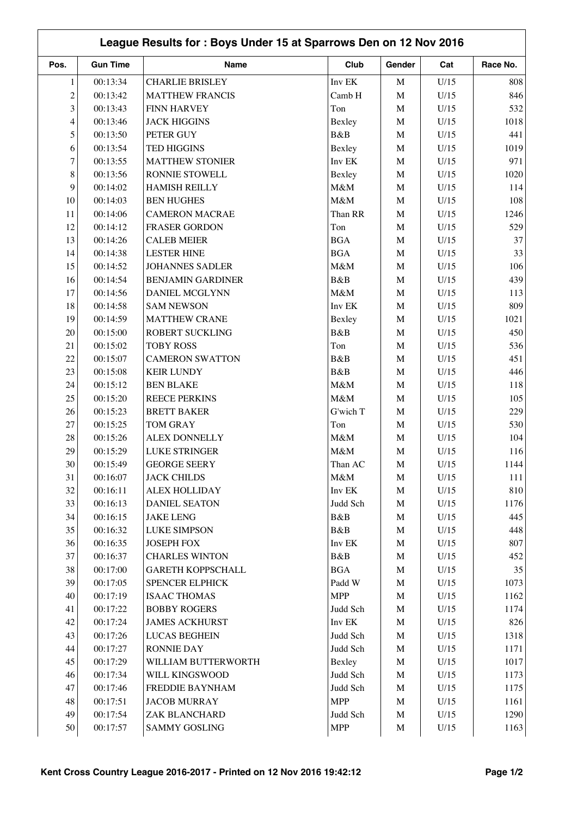| Pos.           | <b>Gun Time</b> | Name                     | Club       | Gender      | Cat  | Race No. |
|----------------|-----------------|--------------------------|------------|-------------|------|----------|
| $\mathbf{1}$   | 00:13:34        | <b>CHARLIE BRISLEY</b>   | Inv EK     | $\mathbf M$ | U/15 | 808      |
| $\overline{c}$ | 00:13:42        | <b>MATTHEW FRANCIS</b>   | Camb H     | $\mathbf M$ | U/15 | 846      |
| 3              | 00:13:43        | <b>FINN HARVEY</b>       | Ton        | $\mathbf M$ | U/15 | 532      |
| 4              | 00:13:46        | <b>JACK HIGGINS</b>      | Bexley     | $\mathbf M$ | U/15 | 1018     |
| 5              | 00:13:50        | PETER GUY                | B&B        | $\mathbf M$ | U/15 | 441      |
| 6              | 00:13:54        | <b>TED HIGGINS</b>       | Bexley     | $\mathbf M$ | U/15 | 1019     |
| 7              | 00:13:55        | <b>MATTHEW STONIER</b>   | Inv EK     | $\mathbf M$ | U/15 | 971      |
| 8              | 00:13:56        | RONNIE STOWELL           | Bexley     | $\mathbf M$ | U/15 | 1020     |
| 9              | 00:14:02        | <b>HAMISH REILLY</b>     | M&M        | $\mathbf M$ | U/15 | 114      |
| 10             | 00:14:03        | <b>BEN HUGHES</b>        | M&M        | $\mathbf M$ | U/15 | 108      |
| 11             | 00:14:06        | <b>CAMERON MACRAE</b>    | Than RR    | $\mathbf M$ | U/15 | 1246     |
| 12             | 00:14:12        | <b>FRASER GORDON</b>     | Ton        | $\mathbf M$ | U/15 | 529      |
| 13             | 00:14:26        | <b>CALEB MEIER</b>       | <b>BGA</b> | $\mathbf M$ | U/15 | 37       |
| 14             | 00:14:38        | <b>LESTER HINE</b>       | <b>BGA</b> | $\mathbf M$ | U/15 | 33       |
| 15             | 00:14:52        | <b>JOHANNES SADLER</b>   | M&M        | $\mathbf M$ | U/15 | 106      |
| 16             | 00:14:54        | <b>BENJAMIN GARDINER</b> | B&B        | $\mathbf M$ | U/15 | 439      |
| 17             | 00:14:56        | DANIEL MCGLYNN           | M&M        | $\mathbf M$ | U/15 | 113      |
| 18             | 00:14:58        | <b>SAM NEWSON</b>        | Inv EK     | $\mathbf M$ | U/15 | 809      |
| 19             | 00:14:59        | <b>MATTHEW CRANE</b>     | Bexley     | $\mathbf M$ | U/15 | 1021     |
| 20             | 00:15:00        | ROBERT SUCKLING          | B&B        | $\mathbf M$ | U/15 | 450      |
| 21             | 00:15:02        | <b>TOBY ROSS</b>         | Ton        | $\mathbf M$ | U/15 | 536      |
| 22             | 00:15:07        | <b>CAMERON SWATTON</b>   | B&B        | $\mathbf M$ | U/15 | 451      |
| 23             | 00:15:08        | <b>KEIR LUNDY</b>        | B&B        | $\mathbf M$ | U/15 | 446      |
| 24             | 00:15:12        | <b>BEN BLAKE</b>         | M&M        | $\mathbf M$ | U/15 | 118      |
| 25             | 00:15:20        | <b>REECE PERKINS</b>     | M&M        | $\mathbf M$ | U/15 | 105      |
| 26             | 00:15:23        | <b>BRETT BAKER</b>       | G'wich T   | $\mathbf M$ | U/15 | 229      |
| 27             | 00:15:25        | <b>TOM GRAY</b>          | Ton        | $\mathbf M$ | U/15 | 530      |
| $28\,$         | 00:15:26        | <b>ALEX DONNELLY</b>     | M&M        | $\mathbf M$ | U/15 | 104      |
| 29             | 00:15:29        | <b>LUKE STRINGER</b>     | M&M        | $\mathbf M$ | U/15 | 116      |
|                |                 |                          |            |             |      |          |
| $30\,$         | 00:15:49        | <b>GEORGE SEERY</b>      | Than AC    | M           | U/15 | 1144     |
| 31             | 00:16:07        | <b>JACK CHILDS</b>       | M&M        | M           | U/15 | 111      |
| $32\,$         | 00:16:11        | <b>ALEX HOLLIDAY</b>     | Inv EK     | $\mathbf M$ | U/15 | 810      |
| 33             | 00:16:13        | <b>DANIEL SEATON</b>     | Judd Sch   | $\mathbf M$ | U/15 | 1176     |
| 34             | 00:16:15        | <b>JAKE LENG</b>         | B&B        | $\mathbf M$ | U/15 | 445      |
| 35             | 00:16:32        | <b>LUKE SIMPSON</b>      | B&B        | $\mathbf M$ | U/15 | 448      |
| 36             | 00:16:35        | <b>JOSEPH FOX</b>        | Inv EK     | $\mathbf M$ | U/15 | 807      |
| 37             | 00:16:37        | <b>CHARLES WINTON</b>    | B&B        | M           | U/15 | 452      |
| 38             | 00:17:00        | <b>GARETH KOPPSCHALL</b> | <b>BGA</b> | $\mathbf M$ | U/15 | 35       |
| 39             | 00:17:05        | SPENCER ELPHICK          | Padd W     | $\mathbf M$ | U/15 | 1073     |
| 40             | 00:17:19        | <b>ISAAC THOMAS</b>      | <b>MPP</b> | $\mathbf M$ | U/15 | 1162     |
| 41             | 00:17:22        | <b>BOBBY ROGERS</b>      | Judd Sch   | $\mathbf M$ | U/15 | 1174     |
| 42             | 00:17:24        | <b>JAMES ACKHURST</b>    | Inv EK     | $\mathbf M$ | U/15 | 826      |
| 43             | 00:17:26        | <b>LUCAS BEGHEIN</b>     | Judd Sch   | $\mathbf M$ | U/15 | 1318     |
| 44             | 00:17:27        | <b>RONNIE DAY</b>        | Judd Sch   | $\mathbf M$ | U/15 | 1171     |
| 45             | 00:17:29        | WILLIAM BUTTERWORTH      | Bexley     | $\mathbf M$ | U/15 | 1017     |
| 46             | 00:17:34        | WILL KINGSWOOD           | Judd Sch   | $\mathbf M$ | U/15 | 1173     |
| 47             | 00:17:46        | FREDDIE BAYNHAM          | Judd Sch   | $\mathbf M$ | U/15 | 1175     |
| 48             | 00:17:51        | <b>JACOB MURRAY</b>      | <b>MPP</b> | $\mathbf M$ | U/15 | 1161     |
| 49             | 00:17:54        | ZAK BLANCHARD            | Judd Sch   | $\mathbf M$ | U/15 | 1290     |
| 50             | 00:17:57        | <b>SAMMY GOSLING</b>     | <b>MPP</b> | M           | U/15 | 1163     |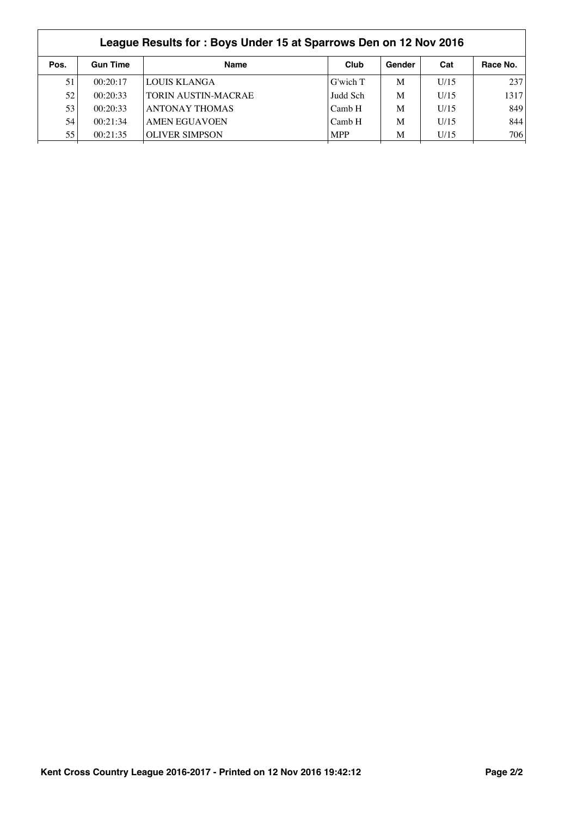|      | League Results for: Boys Under 15 at Sparrows Den on 12 Nov 2016 |                            |            |        |      |          |  |  |  |
|------|------------------------------------------------------------------|----------------------------|------------|--------|------|----------|--|--|--|
| Pos. | <b>Gun Time</b>                                                  | <b>Name</b>                | Club       | Gender | Cat  | Race No. |  |  |  |
| 51   | 00:20:17                                                         | <b>LOUIS KLANGA</b>        | G'wich T   | M      | U/15 | 237      |  |  |  |
| 52   | 00:20:33                                                         | <b>TORIN AUSTIN-MACRAE</b> | Judd Sch   | M      | U/15 | 1317     |  |  |  |
| 53   | 00:20:33                                                         | <b>ANTONAY THOMAS</b>      | Camb H     | M      | U/15 | 849      |  |  |  |
| 54   | 00:21:34                                                         | <b>AMEN EGUAVOEN</b>       | Camb H     | M      | U/15 | 844      |  |  |  |
| 55   | 00:21:35                                                         | <b>OLIVER SIMPSON</b>      | <b>MPP</b> | M      | U/15 | 706      |  |  |  |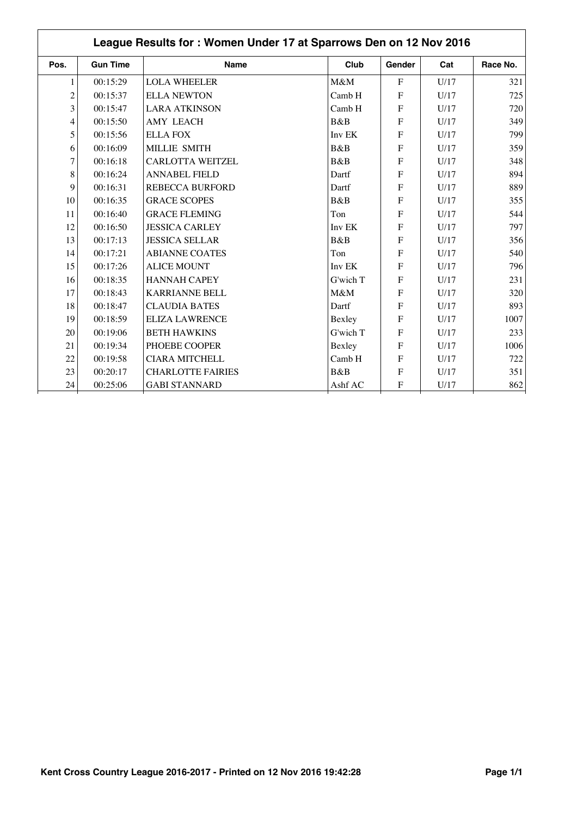|                          | League Results for: Women Under 17 at Sparrows Den on 12 Nov 2016 |                          |          |                |      |          |  |  |  |
|--------------------------|-------------------------------------------------------------------|--------------------------|----------|----------------|------|----------|--|--|--|
| Pos.                     | <b>Gun Time</b>                                                   | <b>Name</b>              | Club     | Gender         | Cat  | Race No. |  |  |  |
| $\mathbf{1}$             | 00:15:29                                                          | <b>LOLA WHEELER</b>      | M&M      | $\mathbf F$    | U/17 | 321      |  |  |  |
| $\overline{c}$           | 00:15:37                                                          | <b>ELLA NEWTON</b>       | Camb H   | F              | U/17 | 725      |  |  |  |
| 3                        | 00:15:47                                                          | <b>LARA ATKINSON</b>     | Camb H   | $\mathbf{F}$   | U/17 | 720      |  |  |  |
| $\overline{\mathcal{A}}$ | 00:15:50                                                          | <b>AMY LEACH</b>         | B&B      | $\mathbf F$    | U/17 | 349      |  |  |  |
| 5                        | 00:15:56                                                          | <b>ELLA FOX</b>          | Inv EK   | F              | U/17 | 799      |  |  |  |
| 6                        | 00:16:09                                                          | MILLIE SMITH             | B&B      | $\overline{F}$ | U/17 | 359      |  |  |  |
| $\overline{7}$           | 00:16:18                                                          | <b>CARLOTTA WEITZEL</b>  | B&B      | F              | U/17 | 348      |  |  |  |
| 8                        | 00:16:24                                                          | <b>ANNABEL FIELD</b>     | Dartf    | F              | U/17 | 894      |  |  |  |
| 9                        | 00:16:31                                                          | <b>REBECCA BURFORD</b>   | Dartf    | ${\bf F}$      | U/17 | 889      |  |  |  |
| 10                       | 00:16:35                                                          | <b>GRACE SCOPES</b>      | B&B      | $\mathbf{F}$   | U/17 | 355      |  |  |  |
| 11                       | 00:16:40                                                          | <b>GRACE FLEMING</b>     | Ton      | $\mathbf{F}$   | U/17 | 544      |  |  |  |
| 12                       | 00:16:50                                                          | <b>JESSICA CARLEY</b>    | Inv EK   | F              | U/17 | 797      |  |  |  |
| 13                       | 00:17:13                                                          | <b>JESSICA SELLAR</b>    | B&B      | $\mathbf{F}$   | U/17 | 356      |  |  |  |
| 14                       | 00:17:21                                                          | <b>ABIANNE COATES</b>    | Ton      | F              | U/17 | 540      |  |  |  |
| 15                       | 00:17:26                                                          | <b>ALICE MOUNT</b>       | Inv EK   | $\overline{F}$ | U/17 | 796      |  |  |  |
| 16                       | 00:18:35                                                          | <b>HANNAH CAPEY</b>      | G'wich T | F              | U/17 | 231      |  |  |  |
| 17                       | 00:18:43                                                          | <b>KARRIANNE BELL</b>    | M&M      | $\mathbf{F}$   | U/17 | 320      |  |  |  |
| 18                       | 00:18:47                                                          | <b>CLAUDIA BATES</b>     | Dartf    | F              | U/17 | 893      |  |  |  |
| 19                       | 00:18:59                                                          | <b>ELIZA LAWRENCE</b>    | Bexley   | F              | U/17 | 1007     |  |  |  |
| 20                       | 00:19:06                                                          | <b>BETH HAWKINS</b>      | G'wich T | $\overline{F}$ | U/17 | 233      |  |  |  |
| 21                       | 00:19:34                                                          | PHOEBE COOPER            | Bexley   | F              | U/17 | 1006     |  |  |  |
| 22                       | 00:19:58                                                          | <b>CIARA MITCHELL</b>    | Camb H   | $\mathbf{F}$   | U/17 | 722      |  |  |  |
| 23                       | 00:20:17                                                          | <b>CHARLOTTE FAIRIES</b> | B&B      | ${\bf F}$      | U/17 | 351      |  |  |  |
| 24                       | 00:25:06                                                          | <b>GABI STANNARD</b>     | Ashf AC  | $\mathbf F$    | U/17 | 862      |  |  |  |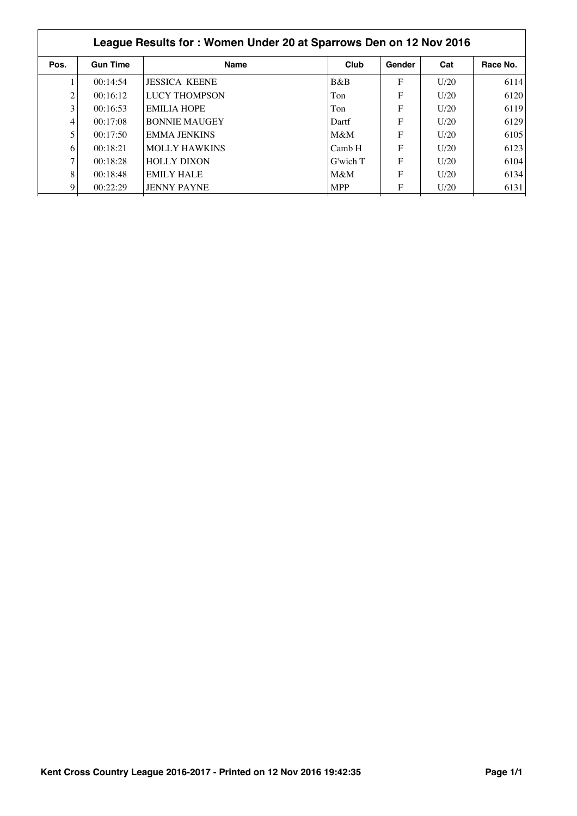|                | League Results for: Women Under 20 at Sparrows Den on 12 Nov 2016 |                      |            |        |      |          |  |  |  |
|----------------|-------------------------------------------------------------------|----------------------|------------|--------|------|----------|--|--|--|
| Pos.           | <b>Gun Time</b>                                                   | <b>Name</b>          | Club       | Gender | Cat  | Race No. |  |  |  |
|                | 00:14:54                                                          | <b>JESSICA KEENE</b> | B&B        | F      | U/20 | 6114     |  |  |  |
| $\overline{c}$ | 00:16:12                                                          | LUCY THOMPSON        | Ton        | F      | U/20 | 6120     |  |  |  |
| 3              | 00:16:53                                                          | <b>EMILIA HOPE</b>   | Ton        | F      | U/20 | 6119     |  |  |  |
| 4              | 00:17:08                                                          | <b>BONNIE MAUGEY</b> | Dartf      | F      | U/20 | 6129     |  |  |  |
| 5              | 00:17:50                                                          | <b>EMMA JENKINS</b>  | $M\&M$     | F      | U/20 | 6105     |  |  |  |
| 6              | 00:18:21                                                          | <b>MOLLY HAWKINS</b> | Camb H     | F      | U/20 | 6123     |  |  |  |
| $\mathcal{I}$  | 00:18:28                                                          | <b>HOLLY DIXON</b>   | G'wich T   | F      | U/20 | 6104     |  |  |  |
| 8              | 00:18:48                                                          | <b>EMILY HALE</b>    | M&M        | F      | U/20 | 6134     |  |  |  |
| 9              | 00:22:29                                                          | <b>JENNY PAYNE</b>   | <b>MPP</b> | F      | U/20 | 6131     |  |  |  |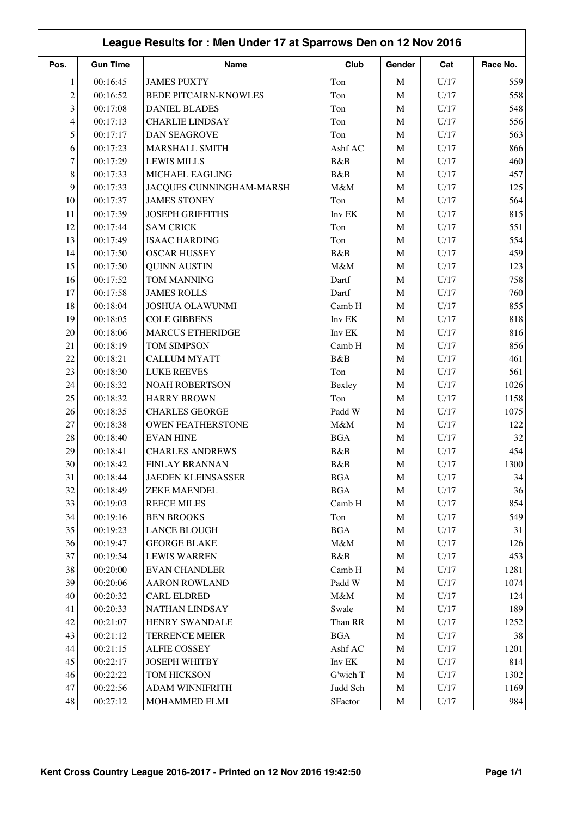|                | League Results for: Men Under 17 at Sparrows Den on 12 Nov 2016 |                              |            |              |      |          |  |  |
|----------------|-----------------------------------------------------------------|------------------------------|------------|--------------|------|----------|--|--|
| Pos.           | <b>Gun Time</b>                                                 | Name                         | Club       | Gender       | Cat  | Race No. |  |  |
| $\mathbf{1}$   | 00:16:45                                                        | <b>JAMES PUXTY</b>           | Ton        | M            | U/17 | 559      |  |  |
| $\overline{c}$ | 00:16:52                                                        | <b>BEDE PITCAIRN-KNOWLES</b> | Ton        | $\mathbf M$  | U/17 | 558      |  |  |
| 3              | 00:17:08                                                        | <b>DANIEL BLADES</b>         | Ton        | $\mathbf M$  | U/17 | 548      |  |  |
| $\overline{4}$ | 00:17:13                                                        | <b>CHARLIE LINDSAY</b>       | Ton        | $\mathbf M$  | U/17 | 556      |  |  |
| 5              | 00:17:17                                                        | <b>DAN SEAGROVE</b>          | Ton        | $\mathbf M$  | U/17 | 563      |  |  |
| 6              | 00:17:23                                                        | MARSHALL SMITH               | Ashf AC    | $\mathbf M$  | U/17 | 866      |  |  |
| $\tau$         | 00:17:29                                                        | <b>LEWIS MILLS</b>           | B&B        | $\mathbf M$  | U/17 | 460      |  |  |
| 8              | 00:17:33                                                        | MICHAEL EAGLING              | B&B        | $\mathbf M$  | U/17 | 457      |  |  |
| 9              | 00:17:33                                                        | JACQUES CUNNINGHAM-MARSH     | M&M        | $\mathbf M$  | U/17 | 125      |  |  |
| 10             | 00:17:37                                                        | <b>JAMES STONEY</b>          | Ton        | $\mathbf M$  | U/17 | 564      |  |  |
| 11             | 00:17:39                                                        | <b>JOSEPH GRIFFITHS</b>      | Inv EK     | $\mathbf M$  | U/17 | 815      |  |  |
| 12             | 00:17:44                                                        | <b>SAM CRICK</b>             | Ton        | $\mathbf M$  | U/17 | 551      |  |  |
| 13             | 00:17:49                                                        | <b>ISAAC HARDING</b>         | Ton        | $\mathbf M$  | U/17 | 554      |  |  |
| 14             | 00:17:50                                                        | <b>OSCAR HUSSEY</b>          | B&B        | $\mathbf M$  | U/17 | 459      |  |  |
| 15             | 00:17:50                                                        | <b>QUINN AUSTIN</b>          | M&M        | $\mathbf M$  | U/17 | 123      |  |  |
| 16             | 00:17:52                                                        | TOM MANNING                  | Dartf      | $\mathbf M$  | U/17 | 758      |  |  |
| 17             | 00:17:58                                                        | <b>JAMES ROLLS</b>           | Dartf      | $\mathbf M$  | U/17 | 760      |  |  |
| 18             | 00:18:04                                                        | <b>JOSHUA OLAWUNMI</b>       | Camb H     | $\mathbf M$  | U/17 | 855      |  |  |
| 19             | 00:18:05                                                        | <b>COLE GIBBENS</b>          | Inv EK     | $\mathbf M$  | U/17 | 818      |  |  |
| 20             | 00:18:06                                                        | <b>MARCUS ETHERIDGE</b>      | Inv EK     | $\mathbf M$  | U/17 | 816      |  |  |
| 21             | 00:18:19                                                        | TOM SIMPSON                  | Camb H     | $\mathbf M$  | U/17 | 856      |  |  |
| 22             | 00:18:21                                                        | <b>CALLUM MYATT</b>          | B&B        | $\mathbf M$  | U/17 | 461      |  |  |
| 23             | 00:18:30                                                        |                              |            |              |      |          |  |  |
|                |                                                                 | <b>LUKE REEVES</b>           | Ton        | $\mathbf M$  | U/17 | 561      |  |  |
| 24             | 00:18:32                                                        | <b>NOAH ROBERTSON</b>        | Bexley     | $\mathbf M$  | U/17 | 1026     |  |  |
| 25             | 00:18:32                                                        | <b>HARRY BROWN</b>           | Ton        | $\mathbf M$  | U/17 | 1158     |  |  |
| 26             | 00:18:35                                                        | <b>CHARLES GEORGE</b>        | Padd W     | M            | U/17 | 1075     |  |  |
| 27             | 00:18:38                                                        | <b>OWEN FEATHERSTONE</b>     | M&M        | M            | U/17 | 122      |  |  |
| 28             | 00:18:40                                                        | <b>EVAN HINE</b>             | <b>BGA</b> | $\mathbf M$  | U/17 | 32       |  |  |
| 29             | 00:18:41                                                        | <b>CHARLES ANDREWS</b>       | B&B        | $\mathbf M$  | U/17 | 454      |  |  |
| $30\,$         | 00:18:42                                                        | FINLAY BRANNAN               | B&B        | $\mathbf M$  | U/17 | 1300     |  |  |
| 31             | 00:18:44                                                        | JAEDEN KLEINSASSER           | <b>BGA</b> | M            | U/17 | 34       |  |  |
| 32             | 00:18:49                                                        | <b>ZEKE MAENDEL</b>          | <b>BGA</b> | $\mathbf M$  | U/17 | 36       |  |  |
| 33             | 00:19:03                                                        | <b>REECE MILES</b>           | Camb H     | $\mathbf M$  | U/17 | 854      |  |  |
| 34             | 00:19:16                                                        | <b>BEN BROOKS</b>            | Ton        | $\mathbf M$  | U/17 | 549      |  |  |
| 35             | 00:19:23                                                        | <b>LANCE BLOUGH</b>          | <b>BGA</b> | $\mathbf M$  | U/17 | 31       |  |  |
| 36             | 00:19:47                                                        | <b>GEORGE BLAKE</b>          | M&M        | $\mathbf M$  | U/17 | 126      |  |  |
| 37             | 00:19:54                                                        | <b>LEWIS WARREN</b>          | B&B        | $\mathbf M$  | U/17 | 453      |  |  |
| 38             | 00:20:00                                                        | <b>EVAN CHANDLER</b>         | Camb H     | $\mathbf M$  | U/17 | 1281     |  |  |
| 39             | 00:20:06                                                        | <b>AARON ROWLAND</b>         | Padd W     | $\mathbf M$  | U/17 | 1074     |  |  |
| 40             | 00:20:32                                                        | <b>CARL ELDRED</b>           | M&M        | $\mathbf M$  | U/17 | 124      |  |  |
| 41             | 00:20:33                                                        | NATHAN LINDSAY               | Swale      | $\mathbf M$  | U/17 | 189      |  |  |
| 42             | 00:21:07                                                        | <b>HENRY SWANDALE</b>        | Than RR    | M            | U/17 | 1252     |  |  |
| 43             | 00:21:12                                                        | <b>TERRENCE MEIER</b>        | <b>BGA</b> | $\mathbf M$  | U/17 | 38       |  |  |
| 44             | 00:21:15                                                        | <b>ALFIE COSSEY</b>          | Ashf AC    | $\mathbf M$  | U/17 | 1201     |  |  |
| 45             | 00:22:17                                                        | <b>JOSEPH WHITBY</b>         | Inv EK     | $\mathbf M$  | U/17 | 814      |  |  |
| 46             | 00:22:22                                                        | TOM HICKSON                  | G'wich T   | M            | U/17 | 1302     |  |  |
| 47             | 00:22:56                                                        | <b>ADAM WINNIFRITH</b>       | Judd Sch   | $\mathbf{M}$ | U/17 | 1169     |  |  |
| 48             | 00:27:12                                                        | MOHAMMED ELMI                | SFactor    | M            | U/17 | 984      |  |  |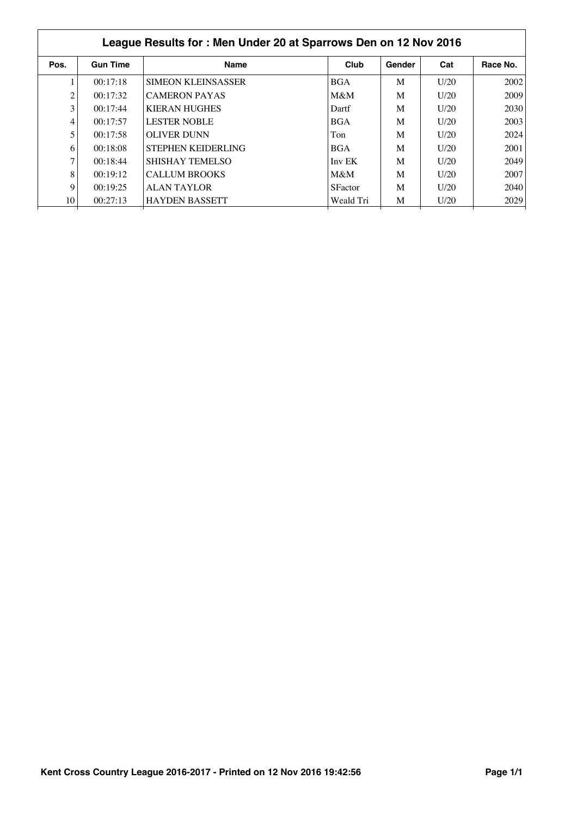|                 | League Results for: Men Under 20 at Sparrows Den on 12 Nov 2016 |                           |                |        |      |          |  |  |  |
|-----------------|-----------------------------------------------------------------|---------------------------|----------------|--------|------|----------|--|--|--|
| Pos.            | <b>Gun Time</b>                                                 | <b>Name</b>               | Club           | Gender | Cat  | Race No. |  |  |  |
|                 | 00:17:18                                                        | <b>SIMEON KLEINSASSER</b> | <b>BGA</b>     | M      | U/20 | 2002     |  |  |  |
| 2               | 00:17:32                                                        | <b>CAMERON PAYAS</b>      | M&M            | M      | U/20 | 2009     |  |  |  |
| 3 <sub>1</sub>  | 00:17:44                                                        | KIERAN HUGHES             | Dartf          | M      | U/20 | 2030     |  |  |  |
| 4               | 00:17:57                                                        | <b>LESTER NOBLE</b>       | <b>BGA</b>     | M      | U/20 | 2003     |  |  |  |
| 5               | 00:17:58                                                        | <b>OLIVER DUNN</b>        | Ton            | M      | U/20 | 2024     |  |  |  |
| 6               | 00:18:08                                                        | STEPHEN KEIDERLING        | <b>BGA</b>     | M      | U/20 | 2001     |  |  |  |
| 7               | 00:18:44                                                        | SHISHAY TEMELSO           | Inv EK         | M      | U/20 | 2049     |  |  |  |
| 8               | 00:19:12                                                        | CALLUM BROOKS             | $M\&M$         | M      | U/20 | 2007     |  |  |  |
| 9               | 00:19:25                                                        | ALAN TAYLOR               | <b>SFactor</b> | M      | U/20 | 2040     |  |  |  |
| 10 <sup>1</sup> | 00:27:13                                                        | <b>HAYDEN BASSETT</b>     | Weald Tri      | M      | U/20 | 2029     |  |  |  |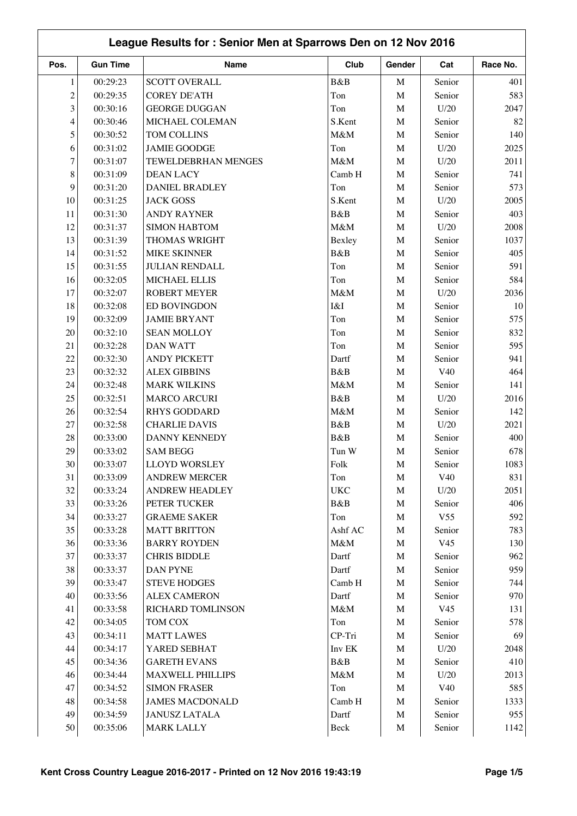|                | League Results for: Senior Men at Sparrows Den on 12 Nov 2016 |                         |            |                            |                 |                 |  |  |  |
|----------------|---------------------------------------------------------------|-------------------------|------------|----------------------------|-----------------|-----------------|--|--|--|
| Pos.           | <b>Gun Time</b>                                               | Name                    | Club       | Gender                     | Cat             | Race No.        |  |  |  |
| $\mathbf{1}$   | 00:29:23                                                      | <b>SCOTT OVERALL</b>    | B&B        | $\mathbf M$                | Senior          | 401             |  |  |  |
| $\overline{c}$ | 00:29:35                                                      | <b>COREY DE'ATH</b>     | Ton        | $\mathbf M$                | Senior          | 583             |  |  |  |
| 3              | 00:30:16                                                      | <b>GEORGE DUGGAN</b>    | Ton        | $\mathbf M$                | U/20            | 2047            |  |  |  |
| 4              | 00:30:46                                                      | MICHAEL COLEMAN         | S.Kent     | $\mathbf M$                | Senior          | 82              |  |  |  |
| 5              | 00:30:52                                                      | TOM COLLINS             | M&M        | $\mathbf M$                | Senior          | 140             |  |  |  |
| 6              | 00:31:02                                                      | <b>JAMIE GOODGE</b>     | Ton        | $\mathbf M$                | U/20            | 2025            |  |  |  |
| $\tau$         | 00:31:07                                                      | TEWELDEBRHAN MENGES     | M&M        | $\mathbf M$                | U/20            | 2011            |  |  |  |
| 8              | 00:31:09                                                      | <b>DEAN LACY</b>        | Camb H     | $\mathbf M$                | Senior          | 741             |  |  |  |
| 9              | 00:31:20                                                      | <b>DANIEL BRADLEY</b>   | Ton        | M                          | Senior          | 573             |  |  |  |
| 10             | 00:31:25                                                      | <b>JACK GOSS</b>        | S.Kent     | $\mathbf M$                | U/20            | 2005            |  |  |  |
| 11             | 00:31:30                                                      | <b>ANDY RAYNER</b>      | B&B        | $\mathbf M$                | Senior          | 403             |  |  |  |
| 12             | 00:31:37                                                      | <b>SIMON HABTOM</b>     | M&M        | $\mathbf M$                | U/20            | 2008            |  |  |  |
| 13             | 00:31:39                                                      | THOMAS WRIGHT           | Bexley     | $\mathbf M$                | Senior          | 1037            |  |  |  |
| 14             | 00:31:52                                                      | <b>MIKE SKINNER</b>     | B&B        | $\mathbf M$                | Senior          | 405             |  |  |  |
| 15             | 00:31:55                                                      | <b>JULIAN RENDALL</b>   | Ton        | $\mathbf M$                | Senior          | 591             |  |  |  |
| 16             | 00:32:05                                                      | MICHAEL ELLIS           | Ton        | $\mathbf M$                | Senior          | 584             |  |  |  |
| 17             | 00:32:07                                                      | ROBERT MEYER            | M&M        | $\mathbf M$                | U/20            | 2036            |  |  |  |
| 18             | 00:32:08                                                      | ED BOVINGDON            | I&I        | $\mathbf M$                | Senior          | 10 <sup>°</sup> |  |  |  |
| 19             | 00:32:09                                                      | <b>JAMIE BRYANT</b>     | Ton        | $\mathbf M$                | Senior          | 575             |  |  |  |
| 20             | 00:32:10                                                      | <b>SEAN MOLLOY</b>      | Ton        | $\mathbf M$                | Senior          | 832             |  |  |  |
| 21             | 00:32:28                                                      | <b>DAN WATT</b>         | Ton        | $\mathbf M$                | Senior          | 595             |  |  |  |
| 22             | 00:32:30                                                      | <b>ANDY PICKETT</b>     | Dartf      | $\mathbf M$                | Senior          | 941             |  |  |  |
| 23             | 00:32:32                                                      | <b>ALEX GIBBINS</b>     | B&B        | $\mathbf M$                | V40             | 464             |  |  |  |
| 24             | 00:32:48                                                      | <b>MARK WILKINS</b>     | M&M        | $\mathbf M$                | Senior          | 141             |  |  |  |
| 25             | 00:32:51                                                      | <b>MARCO ARCURI</b>     | B&B        | $\mathbf M$                | U/20            | 2016            |  |  |  |
| 26             | 00:32:54                                                      | <b>RHYS GODDARD</b>     | M&M        | $\mathbf M$                | Senior          | 142             |  |  |  |
| 27             | 00:32:58                                                      | <b>CHARLIE DAVIS</b>    | B&B        | $\mathbf M$                | U/20            | 2021            |  |  |  |
| 28             | 00:33:00                                                      | DANNY KENNEDY           | B&B        | $\mathbf M$                | Senior          | 400             |  |  |  |
| 29             | 00:33:02                                                      | <b>SAM BEGG</b>         | Tun W      | $\mathbf M$                | Senior          | 678             |  |  |  |
| 30             | 00:33:07                                                      | <b>LLOYD WORSLEY</b>    | Folk       | M                          | Senior          | 1083            |  |  |  |
| 31             | 00:33:09                                                      | <b>ANDREW MERCER</b>    | Ton        | M                          | V40             | 831             |  |  |  |
| 32             | 00:33:24                                                      | <b>ANDREW HEADLEY</b>   | <b>UKC</b> | $\mathbf M$                | U/20            | 2051            |  |  |  |
| 33             | 00:33:26                                                      | PETER TUCKER            | B&B        | $\mathbf M$                | Senior          | 406             |  |  |  |
| 34             | 00:33:27                                                      | <b>GRAEME SAKER</b>     | Ton        | $\mathbf M$                | V <sub>55</sub> | 592             |  |  |  |
| 35             | 00:33:28                                                      | <b>MATT BRITTON</b>     | Ashf AC    | $\mathbf M$                | Senior          | 783             |  |  |  |
| 36             | 00:33:36                                                      | <b>BARRY ROYDEN</b>     | $M\&M$     | $\mathbf M$                | V <sub>45</sub> | 130             |  |  |  |
| 37             | 00:33:37                                                      | <b>CHRIS BIDDLE</b>     | Dartf      | $\mathbf M$                | Senior          | 962             |  |  |  |
| 38             | 00:33:37                                                      | DAN PYNE                | Dartf      | $\mathbf M$                | Senior          | 959             |  |  |  |
| 39             | 00:33:47                                                      | <b>STEVE HODGES</b>     | Camb H     | $\mathbf M$                | Senior          | 744             |  |  |  |
| 40             | 00:33:56                                                      | <b>ALEX CAMERON</b>     | Dartf      | $\mathbf M$                | Senior          | 970             |  |  |  |
| 41             | 00:33:58                                                      | RICHARD TOMLINSON       | M&M        | M                          | V <sub>45</sub> | 131             |  |  |  |
| 42             | 00:34:05                                                      | TOM COX                 | Ton        | M                          | Senior          | 578             |  |  |  |
| 43             | 00:34:11                                                      | <b>MATT LAWES</b>       | CP-Tri     | $\mathbf M$                | Senior          | 69              |  |  |  |
| 44             | 00:34:17                                                      | YARED SEBHAT            | Inv EK     | $\mathbf M$                | U/20            | 2048            |  |  |  |
| 45             |                                                               | <b>GARETH EVANS</b>     | B&B        |                            |                 | 410             |  |  |  |
| 46             | 00:34:36<br>00:34:44                                          | <b>MAXWELL PHILLIPS</b> | $M\&M$     | $\mathbf M$<br>$\mathbf M$ | Senior<br>U/20  | 2013            |  |  |  |
| 47             |                                                               | <b>SIMON FRASER</b>     |            |                            | V40             | 585             |  |  |  |
| 48             | 00:34:52                                                      |                         | Ton        | $\mathbf M$                |                 | 1333            |  |  |  |
|                | 00:34:58                                                      | <b>JAMES MACDONALD</b>  | Camb H     | $\mathbf M$                | Senior          |                 |  |  |  |
| 49             | 00:34:59                                                      | <b>JANUSZ LATALA</b>    | Dartf      | $\mathbf M$                | Senior          | 955             |  |  |  |
| 50             | 00:35:06                                                      | <b>MARK LALLY</b>       | Beck       | M                          | Senior          | 1142            |  |  |  |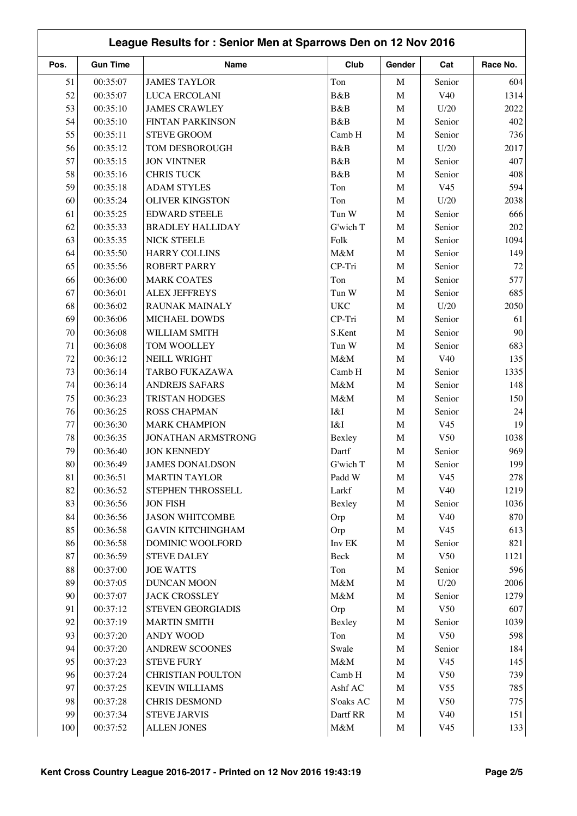|        | League Results for: Senior Men at Sparrows Den on 12 Nov 2016 |                          |            |              |                 |          |
|--------|---------------------------------------------------------------|--------------------------|------------|--------------|-----------------|----------|
| Pos.   | <b>Gun Time</b>                                               | Name                     | Club       | Gender       | Cat             | Race No. |
| 51     | 00:35:07                                                      | <b>JAMES TAYLOR</b>      | Ton        | $\mathbf M$  | Senior          | 604      |
| 52     | 00:35:07                                                      | LUCA ERCOLANI            | B&B        | $\mathbf M$  | V40             | 1314     |
| 53     | 00:35:10                                                      | <b>JAMES CRAWLEY</b>     | B&B        | $\mathbf M$  | U/20            | 2022     |
| 54     | 00:35:10                                                      | <b>FINTAN PARKINSON</b>  | B&B        | $\mathbf M$  | Senior          | 402      |
| 55     | 00:35:11                                                      | <b>STEVE GROOM</b>       | Camb H     | $\mathbf M$  | Senior          | 736      |
| 56     | 00:35:12                                                      | TOM DESBOROUGH           | B&B        | $\mathbf M$  | U/20            | 2017     |
| 57     | 00:35:15                                                      | <b>JON VINTNER</b>       | B&B        | M            | Senior          | 407      |
| 58     | 00:35:16                                                      | <b>CHRIS TUCK</b>        | B&B        | M            | Senior          | 408      |
| 59     | 00:35:18                                                      | <b>ADAM STYLES</b>       | Ton        | $\mathbf M$  | V <sub>45</sub> | 594      |
| 60     | 00:35:24                                                      | <b>OLIVER KINGSTON</b>   | Ton        | $\mathbf M$  | U/20            | 2038     |
| 61     | 00:35:25                                                      | <b>EDWARD STEELE</b>     | Tun W      | $\mathbf M$  | Senior          | 666      |
| 62     | 00:35:33                                                      | <b>BRADLEY HALLIDAY</b>  | G'wich T   | M            | Senior          | 202      |
| 63     | 00:35:35                                                      | <b>NICK STEELE</b>       | Folk       | M            | Senior          | 1094     |
| 64     | 00:35:50                                                      | <b>HARRY COLLINS</b>     | M&M        | $\mathbf M$  | Senior          | 149      |
| 65     | 00:35:56                                                      | <b>ROBERT PARRY</b>      | CP-Tri     | M            | Senior          | 72       |
| 66     | 00:36:00                                                      | <b>MARK COATES</b>       | Ton        | M            | Senior          | 577      |
| 67     | 00:36:01                                                      | <b>ALEX JEFFREYS</b>     | Tun W      | $\mathbf M$  | Senior          | 685      |
| 68     | 00:36:02                                                      | <b>RAUNAK MAINALY</b>    | <b>UKC</b> | $\mathbf M$  | U/20            | 2050     |
| 69     | 00:36:06                                                      | <b>MICHAEL DOWDS</b>     | CP-Tri     | $\mathbf M$  | Senior          | 61       |
| 70     | 00:36:08                                                      | WILLIAM SMITH            | S.Kent     | $\mathbf M$  | Senior          | 90       |
| 71     | 00:36:08                                                      | TOM WOOLLEY              | Tun W      | $\mathbf M$  | Senior          | 683      |
| 72     | 00:36:12                                                      | NEILL WRIGHT             | M&M        | $\mathbf M$  | V <sub>40</sub> | 135      |
| 73     | 00:36:14                                                      | TARBO FUKAZAWA           | Camb H     | M            | Senior          | 1335     |
| 74     | 00:36:14                                                      | <b>ANDREJS SAFARS</b>    | M&M        | $\mathbf M$  | Senior          | 148      |
| 75     | 00:36:23                                                      | TRISTAN HODGES           | M&M        | $\mathbf M$  | Senior          | 150      |
| 76     | 00:36:25                                                      | <b>ROSS CHAPMAN</b>      | I&I        | $\mathbf M$  | Senior          | 24       |
| 77     | 00:36:30                                                      | <b>MARK CHAMPION</b>     | I&I        | $\mathbf M$  | V <sub>45</sub> | 19       |
| 78     | 00:36:35                                                      | JONATHAN ARMSTRONG       | Bexley     | M            | V50             | 1038     |
| 79     | 00:36:40                                                      | <b>JON KENNEDY</b>       | Dartf      | $\mathbf{M}$ | Senior          | 969      |
| $80\,$ | 00:36:49                                                      | <b>JAMES DONALDSON</b>   | G'wich T   | M            | Senior          | 199      |
| 81     | 00:36:51                                                      | <b>MARTIN TAYLOR</b>     | Padd W     | M            | V <sub>45</sub> | 278      |
| 82     | 00:36:52                                                      | STEPHEN THROSSELL        | Larkf      | $\mathbf M$  | V40             | 1219     |
| 83     | 00:36:56                                                      | <b>JON FISH</b>          | Bexley     | $\mathbf M$  | Senior          | 1036     |
| 84     | 00:36:56                                                      | <b>JASON WHITCOMBE</b>   | Orp        | $\mathbf M$  | V40             | 870      |
| 85     | 00:36:58                                                      | <b>GAVIN KITCHINGHAM</b> | Orp        | $\mathbf M$  | V <sub>45</sub> | 613      |
| 86     | 00:36:58                                                      | DOMINIC WOOLFORD         | Inv EK     | $\mathbf M$  | Senior          | 821      |
| 87     | 00:36:59                                                      | <b>STEVE DALEY</b>       | Beck       | $\mathbf M$  | V50             | 1121     |
| 88     | 00:37:00                                                      | <b>JOE WATTS</b>         | Ton        | $\mathbf M$  | Senior          | 596      |
| 89     | 00:37:05                                                      | <b>DUNCAN MOON</b>       | M&M        | $\mathbf M$  | U/20            | 2006     |
| 90     | 00:37:07                                                      | <b>JACK CROSSLEY</b>     | $M\&M$     | $\mathbf M$  | Senior          | 1279     |
| 91     | 00:37:12                                                      | STEVEN GEORGIADIS        | Orp        | $\mathbf M$  | V50             | 607      |
| 92     | 00:37:19                                                      | <b>MARTIN SMITH</b>      | Bexley     | $\mathbf M$  | Senior          | 1039     |
| 93     | 00:37:20                                                      | <b>ANDY WOOD</b>         | Ton        | $\mathbf M$  | V50             | 598      |
| 94     | 00:37:20                                                      | <b>ANDREW SCOONES</b>    | Swale      | $\mathbf M$  | Senior          | 184      |
| 95     | 00:37:23                                                      | <b>STEVE FURY</b>        | $M\&M$     | $\mathbf M$  | V <sub>45</sub> | 145      |
| 96     | 00:37:24                                                      | <b>CHRISTIAN POULTON</b> | Camb H     | $\mathbf M$  | V50             | 739      |
| 97     | 00:37:25                                                      | <b>KEVIN WILLIAMS</b>    | Ashf AC    | $\mathbf M$  | V <sub>55</sub> | 785      |
| 98     | 00:37:28                                                      | <b>CHRIS DESMOND</b>     | S'oaks AC  | $\mathbf M$  | V50             | 775      |
| 99     | 00:37:34                                                      | <b>STEVE JARVIS</b>      | Dartf RR   | $\mathbf M$  | V40             | 151      |
| 100    | 00:37:52                                                      | <b>ALLEN JONES</b>       | M&M        | M            | V <sub>45</sub> | 133      |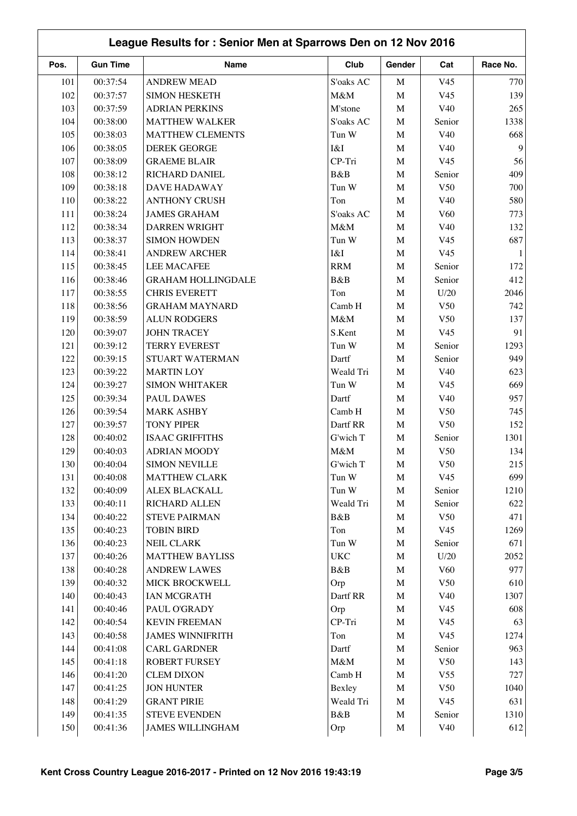| League Results for: Senior Men at Sparrows Den on 12 Nov 2016 |                 |                           |                |                  |                 |          |
|---------------------------------------------------------------|-----------------|---------------------------|----------------|------------------|-----------------|----------|
| Pos.                                                          | <b>Gun Time</b> | Name                      | Club           | Gender           | Cat             | Race No. |
| 101                                                           | 00:37:54        | <b>ANDREW MEAD</b>        | S'oaks AC      | $\mathbf M$      | V <sub>45</sub> | 770      |
| 102                                                           | 00:37:57        | <b>SIMON HESKETH</b>      | M&M            | $\mathbf M$      | V <sub>45</sub> | 139      |
| 103                                                           | 00:37:59        | <b>ADRIAN PERKINS</b>     | M'stone        | $\mathbf M$      | V40             | 265      |
| 104                                                           | 00:38:00        | <b>MATTHEW WALKER</b>     | S'oaks AC      | M                | Senior          | 1338     |
| 105                                                           | 00:38:03        | <b>MATTHEW CLEMENTS</b>   | Tun W          | $\mathbf M$      | V40             | 668      |
| 106                                                           | 00:38:05        | <b>DEREK GEORGE</b>       | I&I            | $\mathbf M$      | V40             | 9        |
| 107                                                           | 00:38:09        | <b>GRAEME BLAIR</b>       | CP-Tri         | M                | V <sub>45</sub> | 56       |
| 108                                                           | 00:38:12        | RICHARD DANIEL            | B&B            | $\mathbf M$      | Senior          | 409      |
| 109                                                           | 00:38:18        | DAVE HADAWAY              | Tun W          | $\mathbf M$      | V50             | 700      |
| 110                                                           | 00:38:22        | <b>ANTHONY CRUSH</b>      | Ton            | M                | V40             | 580      |
| 111                                                           | 00:38:24        | <b>JAMES GRAHAM</b>       | S'oaks AC      | M                | V60             | 773      |
| 112                                                           | 00:38:34        | DARREN WRIGHT             | M&M            | $\mathbf M$      | V40             | 132      |
| 113                                                           | 00:38:37        | <b>SIMON HOWDEN</b>       | Tun W          | $\mathbf M$      | V <sub>45</sub> | 687      |
| 114                                                           | 00:38:41        | <b>ANDREW ARCHER</b>      | I&I            | $\mathbf M$      | V <sub>45</sub> | 1        |
| 115                                                           | 00:38:45        | <b>LEE MACAFEE</b>        | <b>RRM</b>     | M                | Senior          | 172      |
| 116                                                           | 00:38:46        | <b>GRAHAM HOLLINGDALE</b> | B&B            | $\mathbf M$      | Senior          | 412      |
| 117                                                           | 00:38:55        | <b>CHRIS EVERETT</b>      | Ton            | $\mathbf M$      | U/20            | 2046     |
| 118                                                           | 00:38:56        | <b>GRAHAM MAYNARD</b>     | Camb H         | M                | V50             | 742      |
| 119                                                           | 00:38:59        | <b>ALUN RODGERS</b>       | M&M            | M                | V50             | 137      |
| 120                                                           | 00:39:07        | <b>JOHN TRACEY</b>        | S.Kent         | $\mathbf M$      | V <sub>45</sub> | 91       |
| 121                                                           | 00:39:12        | <b>TERRY EVEREST</b>      | Tun W          | $\mathbf M$      | Senior          | 1293     |
| 122                                                           | 00:39:15        | STUART WATERMAN           | Dartf          | M                | Senior          | 949      |
| 123                                                           | 00:39:22        | <b>MARTIN LOY</b>         | Weald Tri      |                  | V40             | 623      |
| 124                                                           | 00:39:27        |                           | Tun W          | M<br>$\mathbf M$ |                 | 669      |
|                                                               |                 | <b>SIMON WHITAKER</b>     | Dartf          | $\mathbf M$      | V <sub>45</sub> | 957      |
| 125                                                           | 00:39:34        | PAUL DAWES                |                |                  | V40             |          |
| 126                                                           | 00:39:54        | <b>MARK ASHBY</b>         | Camb H         | M                | V50             | 745      |
| 127                                                           | 00:39:57        | <b>TONY PIPER</b>         | Dartf RR       | $\mathbf M$      | V50             | 152      |
| 128                                                           | 00:40:02        | <b>ISAAC GRIFFITHS</b>    | G'wich T       | ${\bf M}$        | Senior          | 1301     |
| 129                                                           | 00:40:03        | <b>ADRIAN MOODY</b>       | M&M            | $\mathbf M$      | V50             | 134      |
| 130                                                           | 00:40:04        | <b>SIMON NEVILLE</b>      | G'wich T       | M                | V50             | 215      |
| 131                                                           | 00:40:08        | <b>MATTHEW CLARK</b>      | Tun W          | M                | V <sub>45</sub> | 699      |
| 132                                                           | 00:40:09        | ALEX BLACKALL             | Tun W          | $\mathbf M$      | Senior          | 1210     |
| 133                                                           | 00:40:11        | RICHARD ALLEN             | Weald Tri      | M                | Senior          | 622      |
| 134                                                           | 00:40:22        | <b>STEVE PAIRMAN</b>      | B&B            | M                | V50             | 471      |
| 135                                                           | 00:40:23        | <b>TOBIN BIRD</b>         | Ton            | $\mathbf M$      | V <sub>45</sub> | 1269     |
| 136                                                           | 00:40:23        | <b>NEIL CLARK</b>         | $\mbox{Tun}$ W | M                | Senior          | 671      |
| 137                                                           | 00:40:26        | <b>MATTHEW BAYLISS</b>    | $_{\rm UKC}$   | M                | U/20            | 2052     |
| 138                                                           | 00:40:28        | <b>ANDREW LAWES</b>       | B&B            | M                | V60             | 977      |
| 139                                                           | 00:40:32        | MICK BROCKWELL            | Orp            | M                | V50             | 610      |
| 140                                                           | 00:40:43        | <b>IAN MCGRATH</b>        | Dartf RR       | $\mathbf M$      | V40             | 1307     |
| 141                                                           | 00:40:46        | PAUL O'GRADY              | Orp            | M                | V <sub>45</sub> | 608      |
| 142                                                           | 00:40:54        | <b>KEVIN FREEMAN</b>      | CP-Tri         | M                | V <sub>45</sub> | 63       |
| 143                                                           | 00:40:58        | <b>JAMES WINNIFRITH</b>   | Ton            | M                | V <sub>45</sub> | 1274     |
| 144                                                           | 00:41:08        | <b>CARL GARDNER</b>       | Dartf          | M                | Senior          | 963      |
| 145                                                           | 00:41:18        | ROBERT FURSEY             | $M\&M$         | M                | V50             | 143      |
| 146                                                           | 00:41:20        | <b>CLEM DIXON</b>         | Camb H         | $\mathbf M$      | V <sub>55</sub> | 727      |
| 147                                                           | 00:41:25        | <b>JON HUNTER</b>         | Bexley         | M                | V50             | 1040     |
| 148                                                           | 00:41:29        | <b>GRANT PIRIE</b>        | Weald Tri      | M                | V <sub>45</sub> | 631      |
| 149                                                           | 00:41:35        | <b>STEVE EVENDEN</b>      | B&B            | M                | Senior          | 1310     |
| 150                                                           | 00:41:36        | <b>JAMES WILLINGHAM</b>   | Orp            | M                | V40             | 612      |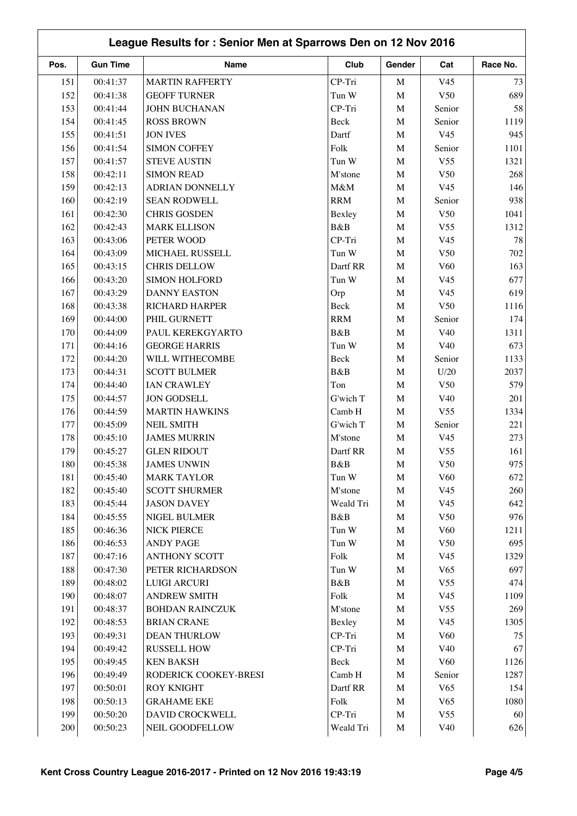| <b>Gun Time</b><br><b>Name</b><br>Club<br>Pos.<br>Gender<br>Race No.<br>Cat<br>00:41:37<br>CP-Tri<br><b>MARTIN RAFFERTY</b><br>$\mathbf M$<br>V <sub>45</sub><br>73<br>151<br>152<br>00:41:38<br><b>GEOFF TURNER</b><br>689<br>Tun W<br>$\mathbf M$<br>V50<br>00:41:44<br>58<br>153<br>JOHN BUCHANAN<br>CP-Tri<br>$\mathbf M$<br>Senior<br>00:41:45<br><b>ROSS BROWN</b><br>1119<br>154<br>Beck<br>$\mathbf M$<br>Senior<br>945<br>155<br>00:41:51<br><b>JON IVES</b><br>Dartf<br>$\mathbf M$<br>V <sub>45</sub><br>Folk<br>156<br>00:41:54<br><b>SIMON COFFEY</b><br>$\mathbf M$<br>Senior<br>1101<br>157<br>00:41:57<br><b>STEVE AUSTIN</b><br>1321<br>Tun W<br>$\mathbf M$<br>V <sub>55</sub><br>158<br>00:42:11<br><b>SIMON READ</b><br>268<br>M'stone<br>$\mathbf M$<br>V50<br>00:42:13<br>M&M<br>146<br>159<br>ADRIAN DONNELLY<br>$\mathbf M$<br>V <sub>45</sub><br><b>RRM</b><br>938<br>160<br>00:42:19<br><b>SEAN RODWELL</b><br>$\mathbf M$<br>Senior<br>V50<br>1041<br>161<br>00:42:30<br><b>CHRIS GOSDEN</b><br>Bexley<br>$\mathbf M$<br>B&B<br>1312<br>162<br>00:42:43<br><b>MARK ELLISON</b><br>$\mathbf M$<br>V <sub>55</sub><br>78<br>163<br>00:43:06<br>PETER WOOD<br>CP-Tri<br>$\mathbf M$<br>V <sub>45</sub><br>V50<br>702<br>164<br>00:43:09<br>MICHAEL RUSSELL<br>Tun W<br>$\mathbf M$<br>165<br>00:43:15<br><b>CHRIS DELLOW</b><br>Dartf RR<br>V60<br>163<br>$\mathbf M$<br>166<br>00:43:20<br><b>SIMON HOLFORD</b><br>Tun W<br>$\mathbf M$<br>V <sub>45</sub><br>677<br>619<br>167<br>00:43:29<br><b>DANNY EASTON</b><br>$\mathbf M$<br>V45<br>Orp<br>V50<br>168<br>00:43:38<br>RICHARD HARPER<br>Beck<br>$\mathbf M$<br>1116<br>169<br><b>RRM</b><br>174<br>00:44:00<br>PHIL GURNETT<br>$\mathbf M$<br>Senior |
|--------------------------------------------------------------------------------------------------------------------------------------------------------------------------------------------------------------------------------------------------------------------------------------------------------------------------------------------------------------------------------------------------------------------------------------------------------------------------------------------------------------------------------------------------------------------------------------------------------------------------------------------------------------------------------------------------------------------------------------------------------------------------------------------------------------------------------------------------------------------------------------------------------------------------------------------------------------------------------------------------------------------------------------------------------------------------------------------------------------------------------------------------------------------------------------------------------------------------------------------------------------------------------------------------------------------------------------------------------------------------------------------------------------------------------------------------------------------------------------------------------------------------------------------------------------------------------------------------------------------------------------------------------------------------------------------------------------------------------------|
|                                                                                                                                                                                                                                                                                                                                                                                                                                                                                                                                                                                                                                                                                                                                                                                                                                                                                                                                                                                                                                                                                                                                                                                                                                                                                                                                                                                                                                                                                                                                                                                                                                                                                                                                      |
|                                                                                                                                                                                                                                                                                                                                                                                                                                                                                                                                                                                                                                                                                                                                                                                                                                                                                                                                                                                                                                                                                                                                                                                                                                                                                                                                                                                                                                                                                                                                                                                                                                                                                                                                      |
|                                                                                                                                                                                                                                                                                                                                                                                                                                                                                                                                                                                                                                                                                                                                                                                                                                                                                                                                                                                                                                                                                                                                                                                                                                                                                                                                                                                                                                                                                                                                                                                                                                                                                                                                      |
|                                                                                                                                                                                                                                                                                                                                                                                                                                                                                                                                                                                                                                                                                                                                                                                                                                                                                                                                                                                                                                                                                                                                                                                                                                                                                                                                                                                                                                                                                                                                                                                                                                                                                                                                      |
|                                                                                                                                                                                                                                                                                                                                                                                                                                                                                                                                                                                                                                                                                                                                                                                                                                                                                                                                                                                                                                                                                                                                                                                                                                                                                                                                                                                                                                                                                                                                                                                                                                                                                                                                      |
|                                                                                                                                                                                                                                                                                                                                                                                                                                                                                                                                                                                                                                                                                                                                                                                                                                                                                                                                                                                                                                                                                                                                                                                                                                                                                                                                                                                                                                                                                                                                                                                                                                                                                                                                      |
|                                                                                                                                                                                                                                                                                                                                                                                                                                                                                                                                                                                                                                                                                                                                                                                                                                                                                                                                                                                                                                                                                                                                                                                                                                                                                                                                                                                                                                                                                                                                                                                                                                                                                                                                      |
|                                                                                                                                                                                                                                                                                                                                                                                                                                                                                                                                                                                                                                                                                                                                                                                                                                                                                                                                                                                                                                                                                                                                                                                                                                                                                                                                                                                                                                                                                                                                                                                                                                                                                                                                      |
|                                                                                                                                                                                                                                                                                                                                                                                                                                                                                                                                                                                                                                                                                                                                                                                                                                                                                                                                                                                                                                                                                                                                                                                                                                                                                                                                                                                                                                                                                                                                                                                                                                                                                                                                      |
|                                                                                                                                                                                                                                                                                                                                                                                                                                                                                                                                                                                                                                                                                                                                                                                                                                                                                                                                                                                                                                                                                                                                                                                                                                                                                                                                                                                                                                                                                                                                                                                                                                                                                                                                      |
|                                                                                                                                                                                                                                                                                                                                                                                                                                                                                                                                                                                                                                                                                                                                                                                                                                                                                                                                                                                                                                                                                                                                                                                                                                                                                                                                                                                                                                                                                                                                                                                                                                                                                                                                      |
|                                                                                                                                                                                                                                                                                                                                                                                                                                                                                                                                                                                                                                                                                                                                                                                                                                                                                                                                                                                                                                                                                                                                                                                                                                                                                                                                                                                                                                                                                                                                                                                                                                                                                                                                      |
|                                                                                                                                                                                                                                                                                                                                                                                                                                                                                                                                                                                                                                                                                                                                                                                                                                                                                                                                                                                                                                                                                                                                                                                                                                                                                                                                                                                                                                                                                                                                                                                                                                                                                                                                      |
|                                                                                                                                                                                                                                                                                                                                                                                                                                                                                                                                                                                                                                                                                                                                                                                                                                                                                                                                                                                                                                                                                                                                                                                                                                                                                                                                                                                                                                                                                                                                                                                                                                                                                                                                      |
|                                                                                                                                                                                                                                                                                                                                                                                                                                                                                                                                                                                                                                                                                                                                                                                                                                                                                                                                                                                                                                                                                                                                                                                                                                                                                                                                                                                                                                                                                                                                                                                                                                                                                                                                      |
|                                                                                                                                                                                                                                                                                                                                                                                                                                                                                                                                                                                                                                                                                                                                                                                                                                                                                                                                                                                                                                                                                                                                                                                                                                                                                                                                                                                                                                                                                                                                                                                                                                                                                                                                      |
|                                                                                                                                                                                                                                                                                                                                                                                                                                                                                                                                                                                                                                                                                                                                                                                                                                                                                                                                                                                                                                                                                                                                                                                                                                                                                                                                                                                                                                                                                                                                                                                                                                                                                                                                      |
|                                                                                                                                                                                                                                                                                                                                                                                                                                                                                                                                                                                                                                                                                                                                                                                                                                                                                                                                                                                                                                                                                                                                                                                                                                                                                                                                                                                                                                                                                                                                                                                                                                                                                                                                      |
|                                                                                                                                                                                                                                                                                                                                                                                                                                                                                                                                                                                                                                                                                                                                                                                                                                                                                                                                                                                                                                                                                                                                                                                                                                                                                                                                                                                                                                                                                                                                                                                                                                                                                                                                      |
|                                                                                                                                                                                                                                                                                                                                                                                                                                                                                                                                                                                                                                                                                                                                                                                                                                                                                                                                                                                                                                                                                                                                                                                                                                                                                                                                                                                                                                                                                                                                                                                                                                                                                                                                      |
| B&B<br>170<br>00:44:09<br>PAUL KEREKGYARTO<br>$\mathbf M$<br>V40<br>1311                                                                                                                                                                                                                                                                                                                                                                                                                                                                                                                                                                                                                                                                                                                                                                                                                                                                                                                                                                                                                                                                                                                                                                                                                                                                                                                                                                                                                                                                                                                                                                                                                                                             |
| <b>GEORGE HARRIS</b><br>171<br>00:44:16<br>Tun W<br>$\mathbf M$<br>V40<br>673                                                                                                                                                                                                                                                                                                                                                                                                                                                                                                                                                                                                                                                                                                                                                                                                                                                                                                                                                                                                                                                                                                                                                                                                                                                                                                                                                                                                                                                                                                                                                                                                                                                        |
| 172<br>00:44:20<br>WILL WITHECOMBE<br>$\mathbf M$<br>Senior<br>1133<br>Beck                                                                                                                                                                                                                                                                                                                                                                                                                                                                                                                                                                                                                                                                                                                                                                                                                                                                                                                                                                                                                                                                                                                                                                                                                                                                                                                                                                                                                                                                                                                                                                                                                                                          |
| B&B<br>173<br>00:44:31<br><b>SCOTT BULMER</b><br>2037<br>$\mathbf M$<br>U/20                                                                                                                                                                                                                                                                                                                                                                                                                                                                                                                                                                                                                                                                                                                                                                                                                                                                                                                                                                                                                                                                                                                                                                                                                                                                                                                                                                                                                                                                                                                                                                                                                                                         |
| <b>IAN CRAWLEY</b><br>579<br>174<br>00:44:40<br>Ton<br>$\mathbf M$<br>V50                                                                                                                                                                                                                                                                                                                                                                                                                                                                                                                                                                                                                                                                                                                                                                                                                                                                                                                                                                                                                                                                                                                                                                                                                                                                                                                                                                                                                                                                                                                                                                                                                                                            |
| <b>JON GODSELL</b><br>201<br>175<br>00:44:57<br>G'wich T<br>$\mathbf M$<br>V40                                                                                                                                                                                                                                                                                                                                                                                                                                                                                                                                                                                                                                                                                                                                                                                                                                                                                                                                                                                                                                                                                                                                                                                                                                                                                                                                                                                                                                                                                                                                                                                                                                                       |
| 1334<br>176<br>00:44:59<br><b>MARTIN HAWKINS</b><br>Camb H<br>$\mathbf M$<br>V <sub>55</sub>                                                                                                                                                                                                                                                                                                                                                                                                                                                                                                                                                                                                                                                                                                                                                                                                                                                                                                                                                                                                                                                                                                                                                                                                                                                                                                                                                                                                                                                                                                                                                                                                                                         |
| 221<br>177<br>00:45:09<br><b>NEIL SMITH</b><br>G'wich T<br>$\mathbf M$<br>Senior                                                                                                                                                                                                                                                                                                                                                                                                                                                                                                                                                                                                                                                                                                                                                                                                                                                                                                                                                                                                                                                                                                                                                                                                                                                                                                                                                                                                                                                                                                                                                                                                                                                     |
| 178<br>00:45:10<br><b>JAMES MURRIN</b><br>M'stone<br>$\mathbf M$<br>273<br>V <sub>45</sub>                                                                                                                                                                                                                                                                                                                                                                                                                                                                                                                                                                                                                                                                                                                                                                                                                                                                                                                                                                                                                                                                                                                                                                                                                                                                                                                                                                                                                                                                                                                                                                                                                                           |
| Dartf RR<br>179<br>00:45:27<br><b>GLEN RIDOUT</b><br>$\mathbf M$<br>V <sub>55</sub><br>161                                                                                                                                                                                                                                                                                                                                                                                                                                                                                                                                                                                                                                                                                                                                                                                                                                                                                                                                                                                                                                                                                                                                                                                                                                                                                                                                                                                                                                                                                                                                                                                                                                           |
| 975<br>180<br>B&B<br>V50<br>00:45:38<br><b>JAMES UNWIN</b><br>M                                                                                                                                                                                                                                                                                                                                                                                                                                                                                                                                                                                                                                                                                                                                                                                                                                                                                                                                                                                                                                                                                                                                                                                                                                                                                                                                                                                                                                                                                                                                                                                                                                                                      |
| 181<br>00:45:40<br><b>MARK TAYLOR</b><br>Tun W<br>V <sub>60</sub><br>672<br>M                                                                                                                                                                                                                                                                                                                                                                                                                                                                                                                                                                                                                                                                                                                                                                                                                                                                                                                                                                                                                                                                                                                                                                                                                                                                                                                                                                                                                                                                                                                                                                                                                                                        |
| 182<br><b>SCOTT SHURMER</b><br>$\mathbf M$<br>V <sub>45</sub><br>260<br>00:45:40<br>M'stone                                                                                                                                                                                                                                                                                                                                                                                                                                                                                                                                                                                                                                                                                                                                                                                                                                                                                                                                                                                                                                                                                                                                                                                                                                                                                                                                                                                                                                                                                                                                                                                                                                          |
| 642<br>183<br><b>JASON DAVEY</b><br>Weald Tri<br>$\mathbf M$<br>V <sub>45</sub><br>00:45:44                                                                                                                                                                                                                                                                                                                                                                                                                                                                                                                                                                                                                                                                                                                                                                                                                                                                                                                                                                                                                                                                                                                                                                                                                                                                                                                                                                                                                                                                                                                                                                                                                                          |
| B&B<br>184<br>00:45:55<br>NIGEL BULMER<br>$\mathbf M$<br>V50<br>976                                                                                                                                                                                                                                                                                                                                                                                                                                                                                                                                                                                                                                                                                                                                                                                                                                                                                                                                                                                                                                                                                                                                                                                                                                                                                                                                                                                                                                                                                                                                                                                                                                                                  |
| 185<br>00:46:36<br><b>NICK PIERCE</b><br>Tun W<br>$\mathbf M$<br>V60<br>1211                                                                                                                                                                                                                                                                                                                                                                                                                                                                                                                                                                                                                                                                                                                                                                                                                                                                                                                                                                                                                                                                                                                                                                                                                                                                                                                                                                                                                                                                                                                                                                                                                                                         |
| 186<br>00:46:53<br><b>ANDY PAGE</b><br>Tun W<br>$\mathbf M$<br>V50<br>695                                                                                                                                                                                                                                                                                                                                                                                                                                                                                                                                                                                                                                                                                                                                                                                                                                                                                                                                                                                                                                                                                                                                                                                                                                                                                                                                                                                                                                                                                                                                                                                                                                                            |
| 187<br>00:47:16<br><b>ANTHONY SCOTT</b><br>Folk<br>V <sub>45</sub><br>1329<br>M                                                                                                                                                                                                                                                                                                                                                                                                                                                                                                                                                                                                                                                                                                                                                                                                                                                                                                                                                                                                                                                                                                                                                                                                                                                                                                                                                                                                                                                                                                                                                                                                                                                      |
| 697<br>188<br>Tun W<br>$\mathbf M$<br>00:47:30<br>PETER RICHARDSON<br>V <sub>65</sub>                                                                                                                                                                                                                                                                                                                                                                                                                                                                                                                                                                                                                                                                                                                                                                                                                                                                                                                                                                                                                                                                                                                                                                                                                                                                                                                                                                                                                                                                                                                                                                                                                                                |
| 189<br>00:48:02<br>LUIGI ARCURI<br>B&B<br>$\mathbf M$<br>474<br>V <sub>55</sub>                                                                                                                                                                                                                                                                                                                                                                                                                                                                                                                                                                                                                                                                                                                                                                                                                                                                                                                                                                                                                                                                                                                                                                                                                                                                                                                                                                                                                                                                                                                                                                                                                                                      |
| 190<br>00:48:07<br><b>ANDREW SMITH</b><br>Folk<br>$\mathbf M$<br>V <sub>45</sub><br>1109                                                                                                                                                                                                                                                                                                                                                                                                                                                                                                                                                                                                                                                                                                                                                                                                                                                                                                                                                                                                                                                                                                                                                                                                                                                                                                                                                                                                                                                                                                                                                                                                                                             |
| 269<br>191<br>00:48:37<br>M'stone<br><b>BOHDAN RAINCZUK</b><br>$\mathbf M$<br>V <sub>55</sub>                                                                                                                                                                                                                                                                                                                                                                                                                                                                                                                                                                                                                                                                                                                                                                                                                                                                                                                                                                                                                                                                                                                                                                                                                                                                                                                                                                                                                                                                                                                                                                                                                                        |
| 192<br>00:48:53<br><b>BRIAN CRANE</b><br>$\mathbf M$<br>1305<br>Bexley<br>V <sub>45</sub>                                                                                                                                                                                                                                                                                                                                                                                                                                                                                                                                                                                                                                                                                                                                                                                                                                                                                                                                                                                                                                                                                                                                                                                                                                                                                                                                                                                                                                                                                                                                                                                                                                            |
| CP-Tri<br>193<br><b>DEAN THURLOW</b><br>$\mathbf M$<br>V60<br>75<br>00:49:31                                                                                                                                                                                                                                                                                                                                                                                                                                                                                                                                                                                                                                                                                                                                                                                                                                                                                                                                                                                                                                                                                                                                                                                                                                                                                                                                                                                                                                                                                                                                                                                                                                                         |
| 194<br>CP-Tri<br>$\mathbf M$<br>V40<br>67<br>00:49:42<br><b>RUSSELL HOW</b>                                                                                                                                                                                                                                                                                                                                                                                                                                                                                                                                                                                                                                                                                                                                                                                                                                                                                                                                                                                                                                                                                                                                                                                                                                                                                                                                                                                                                                                                                                                                                                                                                                                          |
| 195<br>00:49:45<br>V <sub>60</sub><br>1126<br><b>KEN BAKSH</b><br>Beck<br>$\mathbf M$                                                                                                                                                                                                                                                                                                                                                                                                                                                                                                                                                                                                                                                                                                                                                                                                                                                                                                                                                                                                                                                                                                                                                                                                                                                                                                                                                                                                                                                                                                                                                                                                                                                |
| 196<br>00:49:49<br>Camb H<br>$\mathbf M$<br>1287<br>RODERICK COOKEY-BRESI<br>Senior                                                                                                                                                                                                                                                                                                                                                                                                                                                                                                                                                                                                                                                                                                                                                                                                                                                                                                                                                                                                                                                                                                                                                                                                                                                                                                                                                                                                                                                                                                                                                                                                                                                  |
| 197<br>00:50:01<br><b>ROY KNIGHT</b><br>Dartf RR<br>$\mathbf M$<br>V65<br>154                                                                                                                                                                                                                                                                                                                                                                                                                                                                                                                                                                                                                                                                                                                                                                                                                                                                                                                                                                                                                                                                                                                                                                                                                                                                                                                                                                                                                                                                                                                                                                                                                                                        |
| 198<br>00:50:13<br><b>GRAHAME EKE</b><br>V65<br>1080<br>Folk<br>$\mathbf M$                                                                                                                                                                                                                                                                                                                                                                                                                                                                                                                                                                                                                                                                                                                                                                                                                                                                                                                                                                                                                                                                                                                                                                                                                                                                                                                                                                                                                                                                                                                                                                                                                                                          |
| 199<br>00:50:20<br>DAVID CROCKWELL<br>CP-Tri<br>V <sub>55</sub><br>60<br>$\mathbf M$                                                                                                                                                                                                                                                                                                                                                                                                                                                                                                                                                                                                                                                                                                                                                                                                                                                                                                                                                                                                                                                                                                                                                                                                                                                                                                                                                                                                                                                                                                                                                                                                                                                 |
| $200\,$<br>00:50:23<br>NEIL GOODFELLOW<br>Weald Tri<br>V40<br>626<br>$\mathbf M$                                                                                                                                                                                                                                                                                                                                                                                                                                                                                                                                                                                                                                                                                                                                                                                                                                                                                                                                                                                                                                                                                                                                                                                                                                                                                                                                                                                                                                                                                                                                                                                                                                                     |